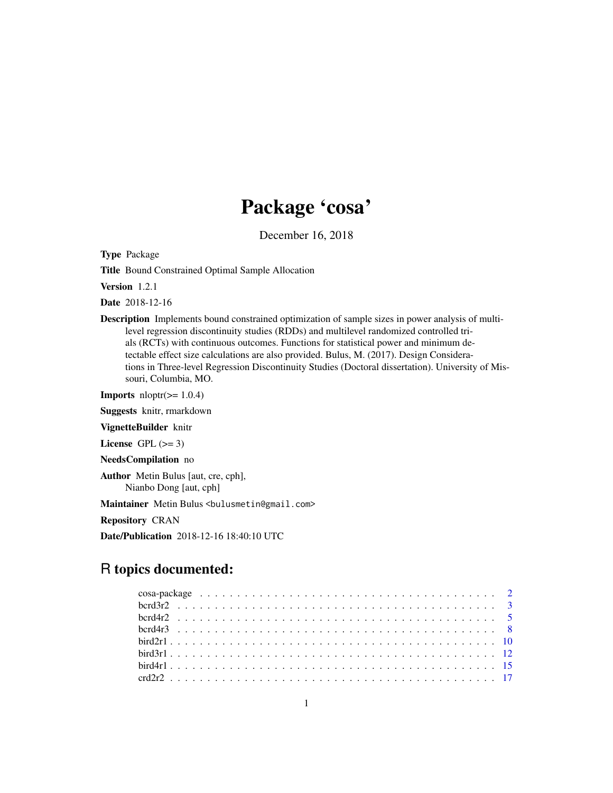# Package 'cosa'

December 16, 2018

Type Package

Title Bound Constrained Optimal Sample Allocation

Version 1.2.1

Date 2018-12-16

Description Implements bound constrained optimization of sample sizes in power analysis of multilevel regression discontinuity studies (RDDs) and multilevel randomized controlled trials (RCTs) with continuous outcomes. Functions for statistical power and minimum detectable effect size calculations are also provided. Bulus, M. (2017). Design Considerations in Three-level Regression Discontinuity Studies (Doctoral dissertation). University of Missouri, Columbia, MO.

**Imports** nloptr( $>= 1.0.4$ )

Suggests knitr, rmarkdown

VignetteBuilder knitr

License GPL  $(>= 3)$ 

NeedsCompilation no

Author Metin Bulus [aut, cre, cph], Nianbo Dong [aut, cph]

Maintainer Metin Bulus <br/>bulusmetin@gmail.com>

Repository CRAN

Date/Publication 2018-12-16 18:40:10 UTC

# R topics documented: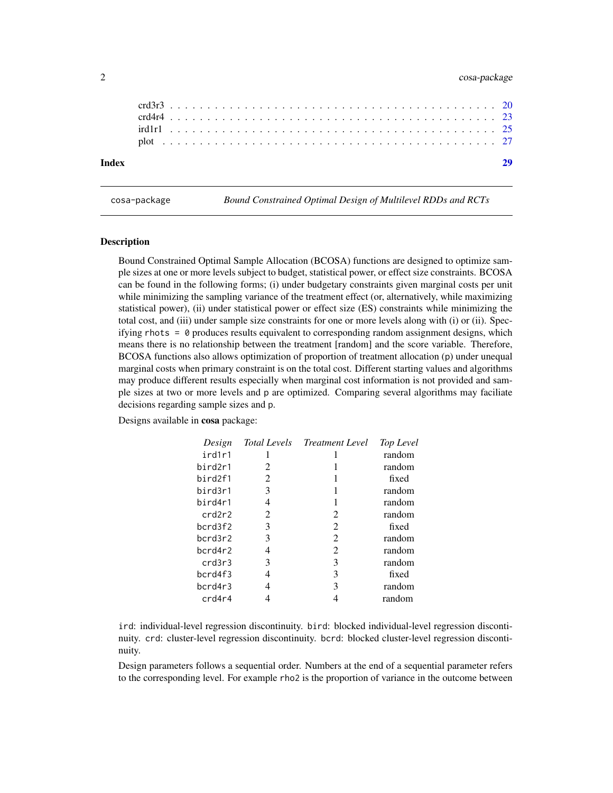# <span id="page-1-0"></span>2 cosa-package

| Index |  |  |  |  |  |  |  |  |  |  |  |  |  |  |  |  |  |  |  |  |  |  |  |
|-------|--|--|--|--|--|--|--|--|--|--|--|--|--|--|--|--|--|--|--|--|--|--|--|
|       |  |  |  |  |  |  |  |  |  |  |  |  |  |  |  |  |  |  |  |  |  |  |  |
|       |  |  |  |  |  |  |  |  |  |  |  |  |  |  |  |  |  |  |  |  |  |  |  |
|       |  |  |  |  |  |  |  |  |  |  |  |  |  |  |  |  |  |  |  |  |  |  |  |
|       |  |  |  |  |  |  |  |  |  |  |  |  |  |  |  |  |  |  |  |  |  |  |  |
|       |  |  |  |  |  |  |  |  |  |  |  |  |  |  |  |  |  |  |  |  |  |  |  |

cosa-package *Bound Constrained Optimal Design of Multilevel RDDs and RCTs*

# Description

Bound Constrained Optimal Sample Allocation (BCOSA) functions are designed to optimize sample sizes at one or more levels subject to budget, statistical power, or effect size constraints. BCOSA can be found in the following forms; (i) under budgetary constraints given marginal costs per unit while minimizing the sampling variance of the treatment effect (or, alternatively, while maximizing statistical power), (ii) under statistical power or effect size (ES) constraints while minimizing the total cost, and (iii) under sample size constraints for one or more levels along with (i) or (ii). Specifying rhots  $= 0$  produces results equivalent to corresponding random assignment designs, which means there is no relationship between the treatment [random] and the score variable. Therefore, BCOSA functions also allows optimization of proportion of treatment allocation (p) under unequal marginal costs when primary constraint is on the total cost. Different starting values and algorithms may produce different results especially when marginal cost information is not provided and sample sizes at two or more levels and p are optimized. Comparing several algorithms may faciliate decisions regarding sample sizes and p.

Designs available in cosa package:

| Design  | <b>Total Levels</b> | Treatment Level | Top Level |
|---------|---------------------|-----------------|-----------|
| ird1r1  |                     | I               | random    |
| bird2r1 | 2                   |                 | random    |
| bird2f1 | 2                   | 1               | fixed     |
| bird3r1 | 3                   | 1               | random    |
| bird4r1 | 4                   | 1               | random    |
| crd2r2  | 2                   | 2               | random    |
| bcrd3f2 | 3                   | 2               | fixed     |
| bcrd3r2 | 3                   | 2               | random    |
| bcrd4r2 | 4                   | 2               | random    |
| crd3r3  | 3                   | 3               | random    |
| bcrd4f3 | 4                   | 3               | fixed     |
| bcrd4r3 | 4                   | 3               | random    |
| crd4r4  |                     |                 | random    |

ird: individual-level regression discontinuity. bird: blocked individual-level regression discontinuity. crd: cluster-level regression discontinuity. bcrd: blocked cluster-level regression discontinuity.

Design parameters follows a sequential order. Numbers at the end of a sequential parameter refers to the corresponding level. For example rho2 is the proportion of variance in the outcome between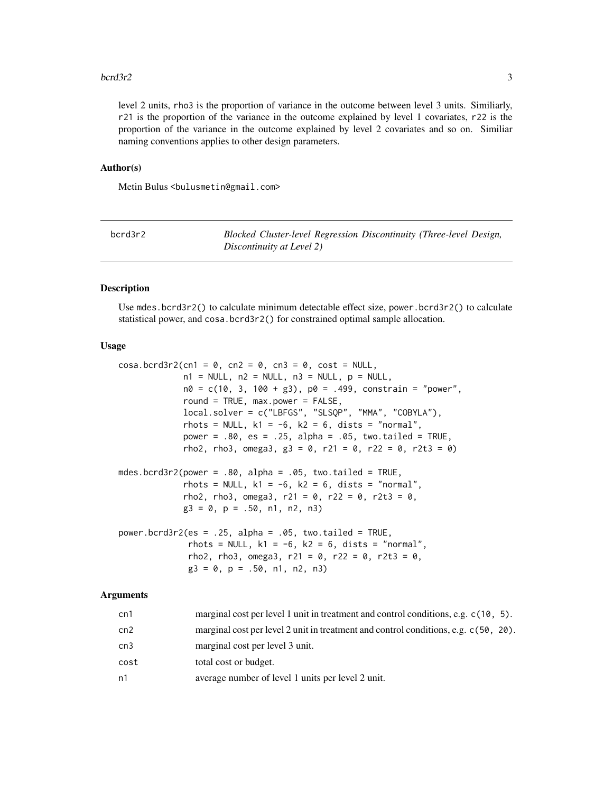# <span id="page-2-0"></span> $bcr d3r2$  3

level 2 units, rho3 is the proportion of variance in the outcome between level 3 units. Similiarly, r21 is the proportion of the variance in the outcome explained by level 1 covariates, r22 is the proportion of the variance in the outcome explained by level 2 covariates and so on. Similiar naming conventions applies to other design parameters.

# Author(s)

Metin Bulus <bulusmetin@gmail.com>

| bcrd3r2 | Blocked Cluster-level Regression Discontinuity (Three-level Design, |
|---------|---------------------------------------------------------------------|
|         | Discontinuity at Level 2)                                           |

# Description

Use mdes.bcrd3r2() to calculate minimum detectable effect size, power.bcrd3r2() to calculate statistical power, and cosa.bcrd3r2() for constrained optimal sample allocation.

# Usage

| $\cos a \cdot \text{berd3r2}$ (cn1 = 0, cn2 = 0, cn3 = 0, cost = NULL, |
|------------------------------------------------------------------------|
| $n1 = NULL$ , $n2 = NULL$ , $n3 = NULL$ , $p = NULL$ ,                 |
| $n0 = c(10, 3, 100 + g3)$ , $p0 = .499$ , constrain = "power",         |
| round = TRUE, max.power = FALSE,                                       |
| $local.solver = c("LBFGS", "SLSQP", "MMA", "COBYLA"),$                 |
| rhots = NULL, $k1 = -6$ , $k2 = 6$ , dists = "normal",                 |
| power = $.80$ , es = $.25$ , alpha = $.05$ , two.tailed = TRUE,        |
| rho2, rho3, omega3, g3 = 0, r21 = 0, r22 = 0, r2t3 = 0)                |
|                                                                        |
| mdes.bcrd3r2(power = $.80$ , alpha = $.95$ , two.tailed = TRUE,        |
| rhots = NULL, $k1 = -6$ , $k2 = 6$ , dists = "normal",                 |
| rho2, rho3, omega3, r21 = 0, r22 = 0, r2t3 = 0,                        |
| $g3 = 0$ , $p = .50$ , n1, n2, n3)                                     |
|                                                                        |
| power.bcrd3r2(es = .25, alpha = .05, two.tailed = TRUE,                |
| rhots = NULL, $k1 = -6$ , $k2 = 6$ , dists = "normal",                 |
| rho2, rho3, omega3, r21 = 0, r22 = 0, r2t3 = 0,                        |
| $g3 = 0$ , $p = .50$ , $n1$ , $n2$ , $n3$ )                            |

| cn1  | marginal cost per level 1 unit in treatment and control conditions, e.g. $c(10, 5)$ . |
|------|---------------------------------------------------------------------------------------|
| cn2  | marginal cost per level 2 unit in treatment and control conditions, e.g. c(50, 20).   |
| cn3  | marginal cost per level 3 unit.                                                       |
| cost | total cost or budget.                                                                 |
| n1   | average number of level 1 units per level 2 unit.                                     |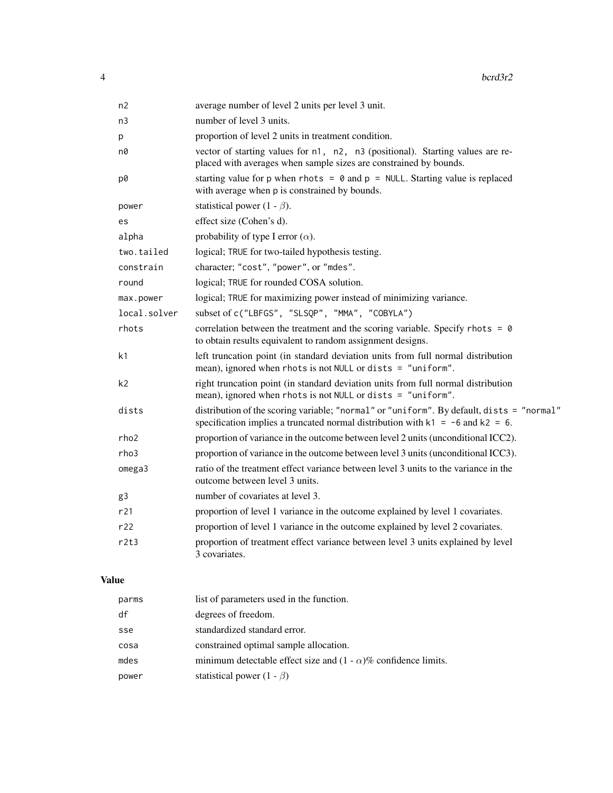| average number of level 2 units per level 3 unit.                                                                                                                                |
|----------------------------------------------------------------------------------------------------------------------------------------------------------------------------------|
| number of level 3 units.                                                                                                                                                         |
| proportion of level 2 units in treatment condition.                                                                                                                              |
| vector of starting values for n1, n2, n3 (positional). Starting values are re-<br>placed with averages when sample sizes are constrained by bounds.                              |
| starting value for p when rhots = $\theta$ and p = NULL. Starting value is replaced<br>with average when p is constrained by bounds.                                             |
| statistical power (1 - $\beta$ ).                                                                                                                                                |
| effect size (Cohen's d).                                                                                                                                                         |
| probability of type I error $(\alpha)$ .                                                                                                                                         |
| logical; TRUE for two-tailed hypothesis testing.                                                                                                                                 |
| character; "cost", "power", or "mdes".                                                                                                                                           |
| logical; TRUE for rounded COSA solution.                                                                                                                                         |
| logical; TRUE for maximizing power instead of minimizing variance.                                                                                                               |
| subset of c("LBFGS", "SLSQP", "MMA", "COBYLA")                                                                                                                                   |
| correlation between the treatment and the scoring variable. Specify rhots = $\theta$<br>to obtain results equivalent to random assignment designs.                               |
| left truncation point (in standard deviation units from full normal distribution<br>mean), ignored when rhots is not NULL or dists = "uniform".                                  |
| right truncation point (in standard deviation units from full normal distribution<br>mean), ignored when rhots is not NULL or dists = "uniform".                                 |
| distribution of the scoring variable; "normal" or "uniform". By default, dists = "normal"<br>specification implies a truncated normal distribution with $k1 = -6$ and $k2 = 6$ . |
| proportion of variance in the outcome between level 2 units (unconditional ICC2).                                                                                                |
| proportion of variance in the outcome between level 3 units (unconditional ICC3).                                                                                                |
| ratio of the treatment effect variance between level 3 units to the variance in the<br>outcome between level 3 units.                                                            |
| number of covariates at level 3.                                                                                                                                                 |
| proportion of level 1 variance in the outcome explained by level 1 covariates.                                                                                                   |
| proportion of level 1 variance in the outcome explained by level 2 covariates.                                                                                                   |
| proportion of treatment effect variance between level 3 units explained by level<br>3 covariates.                                                                                |
|                                                                                                                                                                                  |

# Value

| parms | list of parameters used in the function.                               |
|-------|------------------------------------------------------------------------|
| df    | degrees of freedom.                                                    |
| sse   | standardized standard error.                                           |
| cosa  | constrained optimal sample allocation.                                 |
| mdes  | minimum detectable effect size and $(1 - \alpha)$ % confidence limits. |
| power | statistical power $(1 - \beta)$                                        |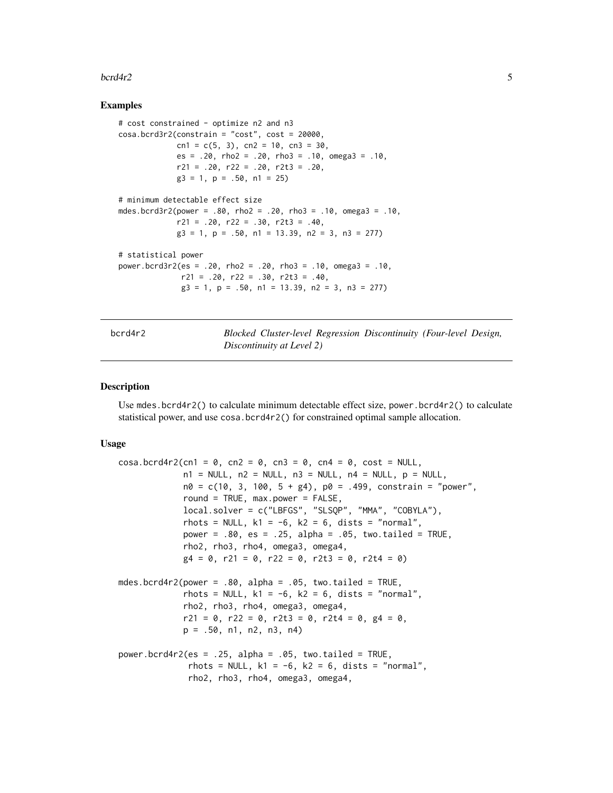### <span id="page-4-0"></span> $bccd4r2$  5

# Examples

```
# cost constrained - optimize n2 and n3
cosa.bcrd3r2(constraint = "cost", cost = 20000,cn1 = c(5, 3), cn2 = 10, cn3 = 30,
             es = .20, rho2 = .20, rho3 = .10, omega3 = .10,
             r21 = .20, r22 = .20, r2t3 = .20,
             g3 = 1, p = .50, n1 = 25)
# minimum detectable effect size
mdes.bcrd3r2(power = .80, rho2 = .20, rho3 = .10, omega3 = .10,
             r21 = .20, r22 = .30, r2t3 = .40,g3 = 1, p = .50, n1 = 13.39, n2 = 3, n3 = 277)
# statistical power
power.bcrd3r2(es = .20, rho2 = .20, rho3 = .10, omega3 = .10,
             r21 = .20, r22 = .30, r2t3 = .40,
              g3 = 1, p = .50, n1 = 13.39, n2 = 3, n3 = 277)
```
bcrd4r2 *Blocked Cluster-level Regression Discontinuity (Four-level Design, Discontinuity at Level 2)*

# **Description**

Use mdes.bcrd4r2() to calculate minimum detectable effect size, power.bcrd4r2() to calculate statistical power, and use cosa.bcrd4r2() for constrained optimal sample allocation.

```
\cos a \cdot \frac{bccd4r}{2}(cn1 = 0, cn2 = 0, cn3 = 0, cn4 = 0, cost = NULL,
             n1 = NULL, n2 = NULL, n3 = NULL, n4 = NULL, p = NULL,n\theta = c(1\theta, 3, 1\theta\theta, 5 + g4), p\theta = .499, constrain = "power",
             round = TRUE, max.power = FALSE,
             local.solver = c("LBFGS", "SLSQP", "MMA", "COBYLA"),
             rhots = NULL, k1 = -6, k2 = 6, dists = "normal",
             power = .80, es = .25, alpha = .05, two.tailed = TRUE,
             rho2, rho3, rho4, omega3, omega4,
             g4 = 0, r21 = 0, r22 = 0, r2t3 = 0, r2t4 = 0)
mdes.bcrd4r2(power = .80, alpha = .05, two.tailed = TRUE,
             rhots = NULL, k1 = -6, k2 = 6, dists = "normal",
             rho2, rho3, rho4, omega3, omega4,
             r21 = 0, r22 = 0, r2t3 = 0, r2t4 = 0, g4 = 0.
             p = .50, n1, n2, n3, n4power.bcrd4r2(es = .25, alpha = .05, two.tailed = TRUE,
              rhots = NULL, k1 = -6, k2 = 6, dists = "normal",
              rho2, rho3, rho4, omega3, omega4,
```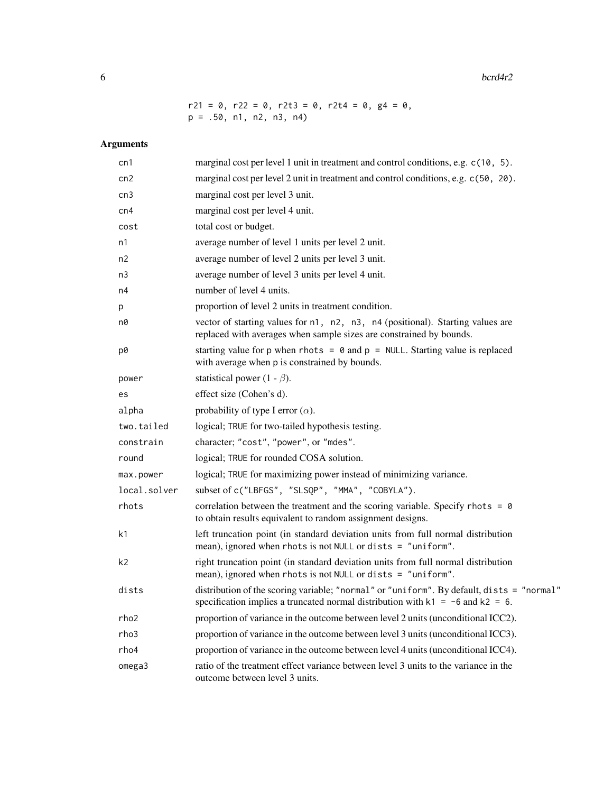$6$  bcrd $4r2$ 

 $r21 = 0$ ,  $r22 = 0$ ,  $r2t3 = 0$ ,  $r2t4 = 0$ ,  $g4 = 0$ ,  $p = .50, n1, n2, n3, n4)$ 

| cn1          | marginal cost per level 1 unit in treatment and control conditions, e.g. c(10, 5).                                                                                               |
|--------------|----------------------------------------------------------------------------------------------------------------------------------------------------------------------------------|
| cn2          | marginal cost per level 2 unit in treatment and control conditions, e.g. c(50, 20).                                                                                              |
| cn3          | marginal cost per level 3 unit.                                                                                                                                                  |
| cn4          | marginal cost per level 4 unit.                                                                                                                                                  |
| cost         | total cost or budget.                                                                                                                                                            |
| n1           | average number of level 1 units per level 2 unit.                                                                                                                                |
| n2           | average number of level 2 units per level 3 unit.                                                                                                                                |
| n3           | average number of level 3 units per level 4 unit.                                                                                                                                |
| n4           | number of level 4 units.                                                                                                                                                         |
| p            | proportion of level 2 units in treatment condition.                                                                                                                              |
| n0           | vector of starting values for n1, n2, n3, n4 (positional). Starting values are<br>replaced with averages when sample sizes are constrained by bounds.                            |
| p0           | starting value for p when rhots = $\theta$ and p = NULL. Starting value is replaced<br>with average when p is constrained by bounds.                                             |
| power        | statistical power (1 - $\beta$ ).                                                                                                                                                |
| es           | effect size (Cohen's d).                                                                                                                                                         |
| alpha        | probability of type I error $(\alpha)$ .                                                                                                                                         |
| two.tailed   | logical; TRUE for two-tailed hypothesis testing.                                                                                                                                 |
| constrain    | character; "cost", "power", or "mdes".                                                                                                                                           |
| round        | logical; TRUE for rounded COSA solution.                                                                                                                                         |
| max.power    | logical; TRUE for maximizing power instead of minimizing variance.                                                                                                               |
| local.solver | subset of c("LBFGS", "SLSQP", "MMA", "COBYLA").                                                                                                                                  |
| rhots        | correlation between the treatment and the scoring variable. Specify rhots = $\theta$<br>to obtain results equivalent to random assignment designs.                               |
| k1           | left truncation point (in standard deviation units from full normal distribution<br>mean), ignored when rhots is not NULL or dists = "uniform".                                  |
| k2           | right truncation point (in standard deviation units from full normal distribution<br>mean), ignored when rhots is not NULL or dists = $"uniform"$ .                              |
| dists        | distribution of the scoring variable; "normal" or "uniform". By default, dists = "normal"<br>specification implies a truncated normal distribution with $k1 = -6$ and $k2 = 6$ . |
| rho2         | proportion of variance in the outcome between level 2 units (unconditional ICC2).                                                                                                |
| rho3         | proportion of variance in the outcome between level 3 units (unconditional ICC3).                                                                                                |
| rho4         | proportion of variance in the outcome between level 4 units (unconditional ICC4).                                                                                                |
| omega3       | ratio of the treatment effect variance between level 3 units to the variance in the<br>outcome between level 3 units.                                                            |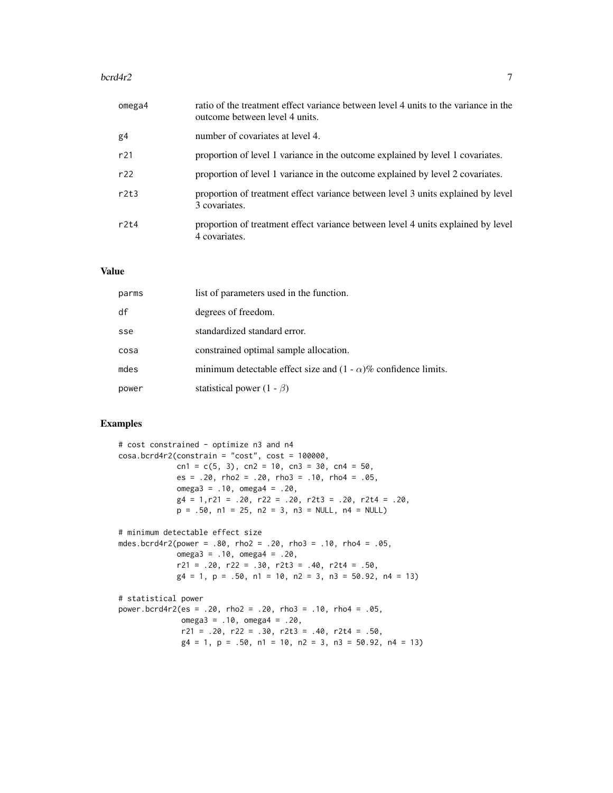# $bccd4r2$  7

| omega4         | ratio of the treatment effect variance between level 4 units to the variance in the<br>outcome between level 4 units. |
|----------------|-----------------------------------------------------------------------------------------------------------------------|
| g <sub>4</sub> | number of covariates at level 4.                                                                                      |
| r21            | proportion of level 1 variance in the outcome explained by level 1 covariates.                                        |
| r22            | proportion of level 1 variance in the outcome explained by level 2 covariates.                                        |
| r2t3           | proportion of treatment effect variance between level 3 units explained by level<br>3 covariates.                     |
| r2t4           | proportion of treatment effect variance between level 4 units explained by level<br>4 covariates.                     |

# Value

| parms | list of parameters used in the function.                               |
|-------|------------------------------------------------------------------------|
| df    | degrees of freedom.                                                    |
| sse   | standardized standard error.                                           |
| cosa  | constrained optimal sample allocation.                                 |
| mdes  | minimum detectable effect size and $(1 - \alpha)$ % confidence limits. |
| power | statistical power $(1 - \beta)$                                        |

# Examples

```
# cost constrained - optimize n3 and n4
cosa.bcrd4r2(constrain = "cost", cost = 100000,
            cn1 = c(5, 3), cn2 = 10, cn3 = 30, cn4 = 50,
            es = .20, rho2 = .20, rho3 = .10, rho4 = .05,
            omega = .10, omega = .20,
            g4 = 1, r21 = .20, r22 = .20, r2t3 = .20, r2t4 = .20,p = .50, n1 = 25, n2 = 3, n3 = NULL, n4 = NULL# minimum detectable effect size
mdes.bcrd4r2(power = .80, rho2 = .20, rho3 = .10, rho4 = .05,
             omega3 = .10, omega4 = .20,
             r21 = .20, r22 = .30, r2t3 = .40, r2t4 = .50,
             g4 = 1, p = .50, n1 = 10, n2 = 3, n3 = 50.92, n4 = 13)
# statistical power
power.bcrd4r2(es = .20, rho2 = .20, rho3 = .10, rho4 = .05,
             omega3 = .10, omega4 = .20,
             r21 = .20, r22 = .30, r2t3 = .40, r2t4 = .50,
             g4 = 1, p = .50, n1 = 10, n2 = 3, n3 = 50.92, n4 = 13)
```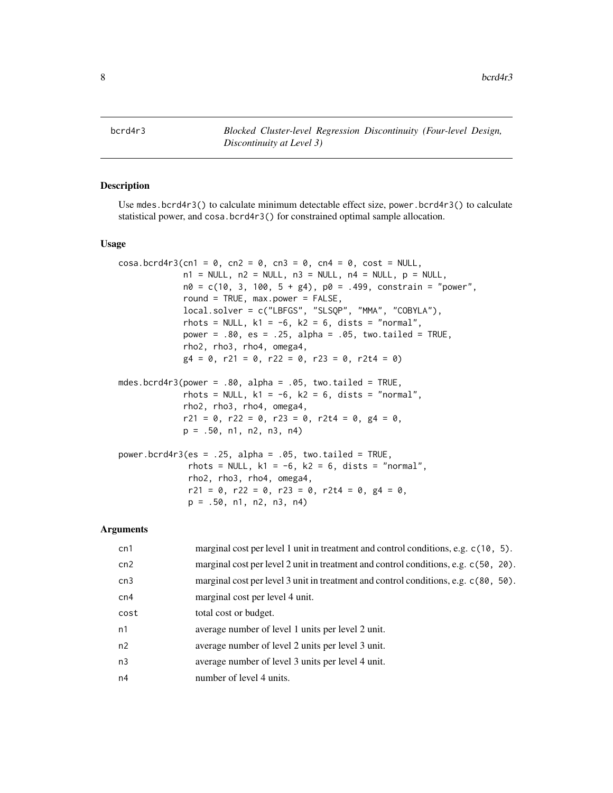<span id="page-7-0"></span>

# Description

Use mdes.bcrd4r3() to calculate minimum detectable effect size, power.bcrd4r3() to calculate statistical power, and cosa.bcrd4r3() for constrained optimal sample allocation.

## Usage

```
\cos a \cdot \frac{b \cdot d}{a} cn1 = 0, cn2 = 0, cn3 = 0, cn4 = 0, cost = NULL,
              n1 = NULL, n2 = NULL, n3 = NULL, n4 = NULL, p = NULL,n\theta = c(1\theta, 3, 1\theta\theta, 5 + g4), p\theta = .499, constrain = "power",
              round = TRUE, max.power = FALSE,
              local.solver = c("LBFGS", "SLSQP", "MMA", "COBYLA"),
              rhots = NULL, k1 = -6, k2 = 6, dists = "normal",
             power = .80, es = .25, alpha = .05, two.tailed = TRUE,
              rho2, rho3, rho4, omega4,
              g4 = 0, r21 = 0, r22 = 0, r23 = 0, r2t4 = 0)
mdes.bcrd4r3(power = .80, alpha = .05, two.tailed = TRUE,
              rhots = NULL, k1 = -6, k2 = 6, dists = "normal",
              rho2, rho3, rho4, omega4,
              r21 = 0, r22 = 0, r23 = 0, r214 = 0, g4 = 0,
              p = .50, n1, n2, n3, n4)
power.bcrd4r3(es = .25, alpha = .05, two.tailed = TRUE,
               rhots = NULL, k1 = -6, k2 = 6, dists = "normal",
               rho2, rho3, rho4, omega4,
              r21 = 0, r22 = 0, r23 = 0, r214 = 0, g4 = 0,
              p = .50, n1, n2, n3, n4)
```

| cn1            | marginal cost per level 1 unit in treatment and control conditions, e.g. $c(10, 5)$ . |
|----------------|---------------------------------------------------------------------------------------|
| cn2            | marginal cost per level 2 unit in treatment and control conditions, e.g. c(50, 20).   |
| cn3            | marginal cost per level 3 unit in treatment and control conditions, e.g. c(80, 50).   |
| cn4            | marginal cost per level 4 unit.                                                       |
| cost           | total cost or budget.                                                                 |
| n1             | average number of level 1 units per level 2 unit.                                     |
| n2             | average number of level 2 units per level 3 unit.                                     |
| n <sub>3</sub> | average number of level 3 units per level 4 unit.                                     |
| n4             | number of level 4 units.                                                              |
|                |                                                                                       |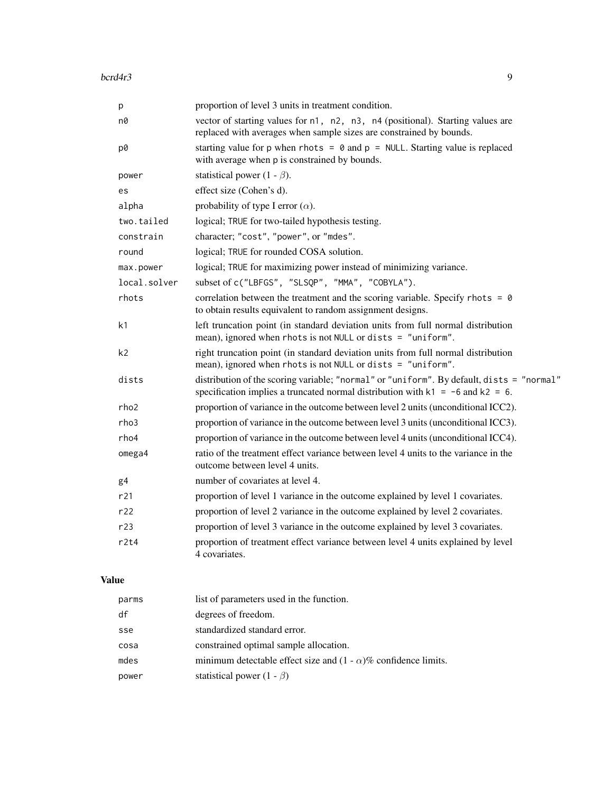| proportion of level 3 units in treatment condition.                                                                                                                              |
|----------------------------------------------------------------------------------------------------------------------------------------------------------------------------------|
| vector of starting values for n1, n2, n3, n4 (positional). Starting values are<br>replaced with averages when sample sizes are constrained by bounds.                            |
| starting value for p when rhots = $\theta$ and p = NULL. Starting value is replaced<br>with average when p is constrained by bounds.                                             |
| statistical power (1 - $\beta$ ).                                                                                                                                                |
| effect size (Cohen's d).                                                                                                                                                         |
| probability of type I error $(\alpha)$ .                                                                                                                                         |
| logical; TRUE for two-tailed hypothesis testing.                                                                                                                                 |
| character; "cost", "power", or "mdes".                                                                                                                                           |
| logical; TRUE for rounded COSA solution.                                                                                                                                         |
| logical; TRUE for maximizing power instead of minimizing variance.                                                                                                               |
| subset of c("LBFGS", "SLSQP", "MMA", "COBYLA").                                                                                                                                  |
| correlation between the treatment and the scoring variable. Specify rhots = $\theta$<br>to obtain results equivalent to random assignment designs.                               |
| left truncation point (in standard deviation units from full normal distribution<br>mean), ignored when rhots is not NULL or dists = "uniform".                                  |
| right truncation point (in standard deviation units from full normal distribution<br>mean), ignored when rhots is not NULL or dists = "uniform".                                 |
| distribution of the scoring variable; "normal" or "uniform". By default, dists = "normal"<br>specification implies a truncated normal distribution with $k1 = -6$ and $k2 = 6$ . |
| proportion of variance in the outcome between level 2 units (unconditional ICC2).                                                                                                |
| proportion of variance in the outcome between level 3 units (unconditional ICC3).                                                                                                |
| proportion of variance in the outcome between level 4 units (unconditional ICC4).                                                                                                |
| ratio of the treatment effect variance between level 4 units to the variance in the<br>outcome between level 4 units.                                                            |
| number of covariates at level 4.                                                                                                                                                 |
| proportion of level 1 variance in the outcome explained by level 1 covariates.                                                                                                   |
| proportion of level 2 variance in the outcome explained by level 2 covariates.                                                                                                   |
| proportion of level 3 variance in the outcome explained by level 3 covariates.                                                                                                   |
| proportion of treatment effect variance between level 4 units explained by level<br>4 covariates.                                                                                |
|                                                                                                                                                                                  |

# Value

| parms | list of parameters used in the function.                               |
|-------|------------------------------------------------------------------------|
| df    | degrees of freedom.                                                    |
| sse   | standardized standard error.                                           |
| cosa  | constrained optimal sample allocation.                                 |
| mdes  | minimum detectable effect size and $(1 - \alpha)$ % confidence limits. |
| power | statistical power $(1 - \beta)$                                        |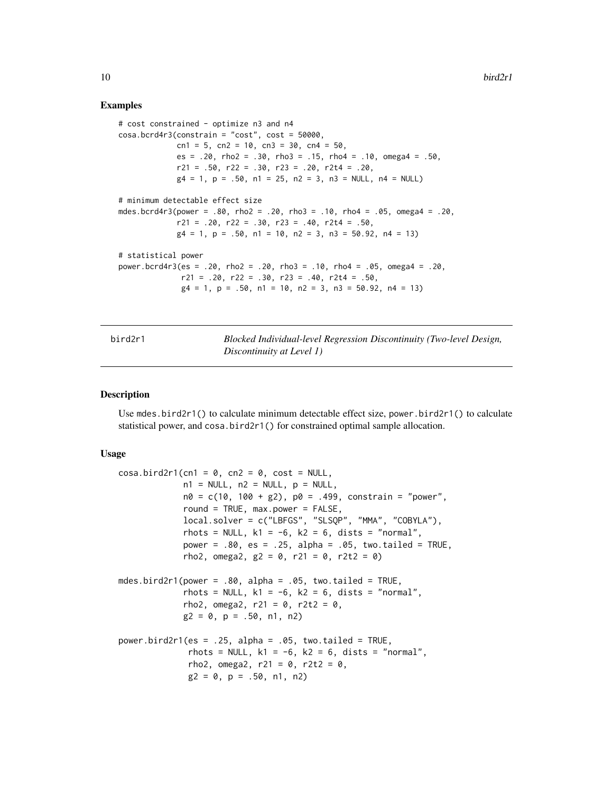# Examples

```
# cost constrained - optimize n3 and n4
cosa.bcrd4r3(constraint = "cost", cost = 50000,cn1 = 5, cn2 = 10, cn3 = 30, cn4 = 50,
             es = .20, rho2 = .30, rho3 = .15, rho4 = .10, omega4 = .50,
             r21 = .50, r22 = .30, r23 = .20, r214 = .20,
             g4 = 1, p = .50, n1 = 25, n2 = 3, n3 = NULL, n4 = NULL# minimum detectable effect size
mdes.bcrd4r3(power = .80, rho2 = .20, rho3 = .10, rho4 = .05, omega4 = .20,
             r21 = .20, r22 = .30, r23 = .40, r214 = .50,
             g4 = 1, p = .50, n1 = 10, n2 = 3, n3 = 50.92, n4 = 13)
# statistical power
power.bcrd4r3(es = .20, rho2 = .20, rho3 = .10, rho4 = .05, omega4 = .20,
              r21 = .20, r22 = .30, r23 = .40, r214 = .50,
              g4 = 1, p = .50, n1 = 10, n2 = 3, n3 = 50.92, n4 = 13)
```
bird2r1 *Blocked Individual-level Regression Discontinuity (Two-level Design, Discontinuity at Level 1)*

# Description

Use mdes.bird2r1() to calculate minimum detectable effect size, power.bird2r1() to calculate statistical power, and cosa.bird2r1() for constrained optimal sample allocation.

```
\cosh\left(\frac{\pi}{2} \right) cosa.bird2r1(cn1 = 0, cn2 = 0, cost = NULL,
              n1 = NULL, n2 = NULL, p = NULL,n\theta = c(1\theta, 1\theta\theta + g2), p\theta = .499, constrain = "power",
              round = TRUE, max.power = FALSE,
              local.solver = c("LBFGS", "SLSQP", "MMA", "COBYLA"),
              rhots = NULL, k1 = -6, k2 = 6, dists = "normal",
              power = .80, es = .25, alpha = .05, two.tailed = TRUE,
              rho2, omega2, g2 = 0, r21 = 0, r2t2 = 0)
mdes.bird2r1(power = .80, alpha = .05, two.tailed = TRUE,
              rhots = NULL, k1 = -6, k2 = 6, dists = "normal",
              rho2, omega2, r21 = 0, r2t2 = 0,
              g2 = 0, p = .50, n1, n2)
power.bird2r1(es = .25, alpha = .05, two.tailed = TRUE,
               rhots = NULL, k1 = -6, k2 = 6, dists = "normal",
               rho2, omega2, r21 = 0, r2t2 = 0,
               g2 = 0, p = .50, n1, n2)
```
<span id="page-9-0"></span>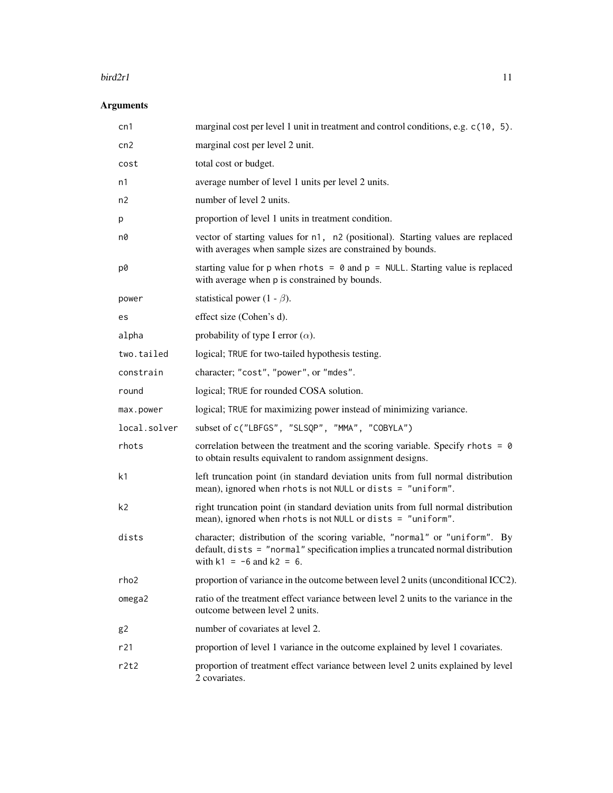## $\frac{b \cdot \ln(2r)}{11}$

| cn1              | marginal cost per level 1 unit in treatment and control conditions, e.g. c(10, 5).                                                                                                             |
|------------------|------------------------------------------------------------------------------------------------------------------------------------------------------------------------------------------------|
| cn2              | marginal cost per level 2 unit.                                                                                                                                                                |
| cost             | total cost or budget.                                                                                                                                                                          |
| n1               | average number of level 1 units per level 2 units.                                                                                                                                             |
| n2               | number of level 2 units.                                                                                                                                                                       |
| р                | proportion of level 1 units in treatment condition.                                                                                                                                            |
| n0               | vector of starting values for n1, n2 (positional). Starting values are replaced<br>with averages when sample sizes are constrained by bounds.                                                  |
| p0               | starting value for p when rhots = $\theta$ and p = NULL. Starting value is replaced<br>with average when p is constrained by bounds.                                                           |
| power            | statistical power (1 - $\beta$ ).                                                                                                                                                              |
| es               | effect size (Cohen's d).                                                                                                                                                                       |
| alpha            | probability of type I error $(\alpha)$ .                                                                                                                                                       |
| two.tailed       | logical; TRUE for two-tailed hypothesis testing.                                                                                                                                               |
| constrain        | character; "cost", "power", or "mdes".                                                                                                                                                         |
| round            | logical; TRUE for rounded COSA solution.                                                                                                                                                       |
| max.power        | logical; TRUE for maximizing power instead of minimizing variance.                                                                                                                             |
| local.solver     | subset of c("LBFGS", "SLSQP", "MMA", "COBYLA")                                                                                                                                                 |
| rhots            | correlation between the treatment and the scoring variable. Specify rhots = $\theta$<br>to obtain results equivalent to random assignment designs.                                             |
| k1               | left truncation point (in standard deviation units from full normal distribution<br>mean), ignored when rhots is not NULL or dists = "uniform".                                                |
| k2               | right truncation point (in standard deviation units from full normal distribution<br>mean), ignored when rhots is not NULL or dists = "uniform".                                               |
| dists            | character; distribution of the scoring variable, "normal" or "uniform". By<br>default, dists = "normal" specification implies a truncated normal distribution<br>with $k1 = -6$ and $k2 = 6$ . |
| rho <sub>2</sub> | proportion of variance in the outcome between level 2 units (unconditional ICC2).                                                                                                              |
| omega2           | ratio of the treatment effect variance between level 2 units to the variance in the<br>outcome between level 2 units.                                                                          |
| g <sub>2</sub>   | number of covariates at level 2.                                                                                                                                                               |
| r21              | proportion of level 1 variance in the outcome explained by level 1 covariates.                                                                                                                 |
| r2t2             | proportion of treatment effect variance between level 2 units explained by level<br>2 covariates.                                                                                              |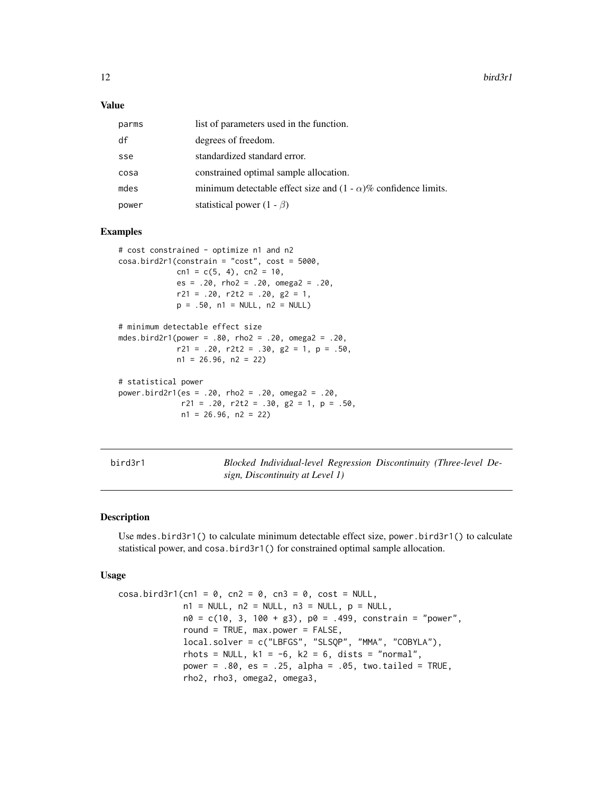<span id="page-11-0"></span>12 bird3r1

## Value

| parms | list of parameters used in the function.                               |
|-------|------------------------------------------------------------------------|
| df    | degrees of freedom.                                                    |
| sse   | standardized standard error.                                           |
| cosa  | constrained optimal sample allocation.                                 |
| mdes  | minimum detectable effect size and $(1 - \alpha)$ % confidence limits. |
| power | statistical power $(1 - \beta)$                                        |

# Examples

```
# cost constrained - optimize n1 and n2
cosa.bird2r1(constraint = "cost", cost = 5000,cn1 = c(5, 4), cn2 = 10,
             es = .20, rho2 = .20, omega2 = .20,
             r21 = .20, r2t2 = .20, g2 = 1,
             p = .50, n1 = NULL, n2 = NULL# minimum detectable effect size
```

```
mdes.bird2r1(power = .80, rho2 = .20, omega2 = .20,
            r21 = .20, r2t2 = .30, g2 = 1, p = .50,
            n1 = 26.96, n2 = 22
```

```
# statistical power
power.bird2r1(es = .20, rho2 = .20, omega2 = .20,
             r21 = .20, r2t2 = .30, g2 = 1, p = .50,
             n1 = 26.96, n2 = 22
```
bird3r1 *Blocked Individual-level Regression Discontinuity (Three-level Design, Discontinuity at Level 1)*

# Description

Use mdes.bird3r1() to calculate minimum detectable effect size, power.bird3r1() to calculate statistical power, and cosa.bird3r1() for constrained optimal sample allocation.

```
cosa.bird3r1(cn1 = 0, cn2 = 0, cn3 = 0, cost = NULL,n1 = NULL, n2 = NULL, n3 = NULL, p = NULL,n0 = c(10, 3, 100 + g3), p0 = .499, constrain = "power",
             round = TRUE, max.power = FALSE,
             local.solver = c("LBFGS", "SLSQP", "MMA", "COBYLA"),
             rhots = NULL, k1 = -6, k2 = 6, dists = "normal",
             power = .80, es = .25, alpha = .05, two.tailed = TRUE,
             rho2, rho3, omega2, omega3,
```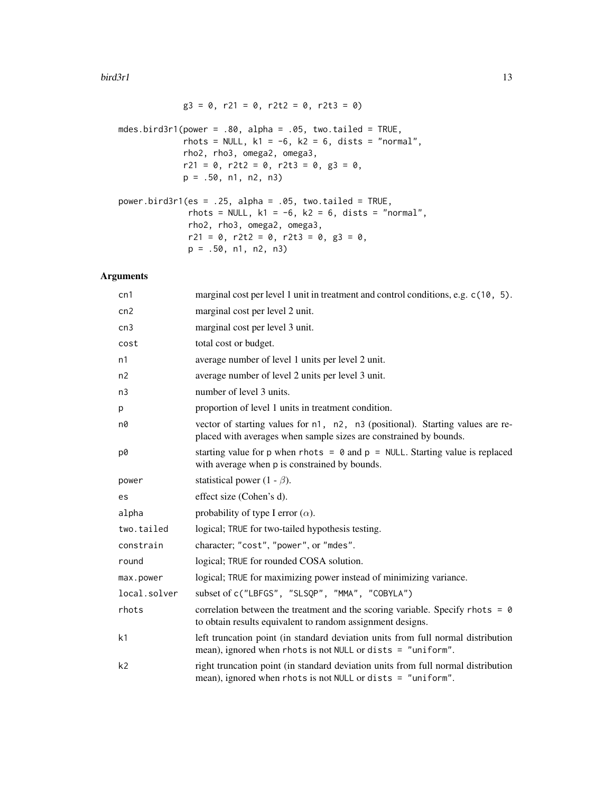### $\frac{b \cdot \ln(3r)}{13}$

$$
g3 = 0
$$
, r21 = 0, r2t2 = 0, r2t3 = 0)

mdes.bird3r1(power =  $.80$ , alpha =  $.05$ , two.tailed = TRUE, rhots = NULL,  $k1 = -6$ ,  $k2 = 6$ , dists = "normal", rho2, rho3, omega2, omega3,  $r21 = 0$ ,  $r2t2 = 0$ ,  $r2t3 = 0$ ,  $g3 = 0$ , p = .50, n1, n2, n3)

```
power.bird3r1(es = .25, alpha = .05, two.tailed = TRUE,rhots = NULL, k1 = -6, k2 = 6, dists = "normal",
              rho2, rho3, omega2, omega3,
              r21 = 0, r2t2 = 0, r2t3 = 0, g3 = 0,
             p = .50, n1, n2, n3)
```

| cn1            | marginal cost per level 1 unit in treatment and control conditions, e.g. c(10, 5).                                                                  |
|----------------|-----------------------------------------------------------------------------------------------------------------------------------------------------|
| cn2            | marginal cost per level 2 unit.                                                                                                                     |
| cn3            | marginal cost per level 3 unit.                                                                                                                     |
| cost           | total cost or budget.                                                                                                                               |
| n1             | average number of level 1 units per level 2 unit.                                                                                                   |
| n2             | average number of level 2 units per level 3 unit.                                                                                                   |
| n <sub>3</sub> | number of level 3 units.                                                                                                                            |
| p              | proportion of level 1 units in treatment condition.                                                                                                 |
| n0             | vector of starting values for n1, n2, n3 (positional). Starting values are re-<br>placed with averages when sample sizes are constrained by bounds. |
| p0             | starting value for p when rhots = $\theta$ and p = NULL. Starting value is replaced<br>with average when p is constrained by bounds.                |
| power          | statistical power (1 - $\beta$ ).                                                                                                                   |
| es             | effect size (Cohen's d).                                                                                                                            |
| alpha          | probability of type I error $(\alpha)$ .                                                                                                            |
| two.tailed     | logical; TRUE for two-tailed hypothesis testing.                                                                                                    |
| constrain      | character; "cost", "power", or "mdes".                                                                                                              |
| round          | logical; TRUE for rounded COSA solution.                                                                                                            |
| max.power      | logical; TRUE for maximizing power instead of minimizing variance.                                                                                  |
| local.solver   | subset of c("LBFGS", "SLSQP", "MMA", "COBYLA")                                                                                                      |
| rhots          | correlation between the treatment and the scoring variable. Specify rhots = $\theta$<br>to obtain results equivalent to random assignment designs.  |
| k1             | left truncation point (in standard deviation units from full normal distribution<br>mean), ignored when rhots is not NULL or dists $=$ "uniform".   |
| k2             | right truncation point (in standard deviation units from full normal distribution<br>mean), ignored when rhots is not NULL or dists = "uniform".    |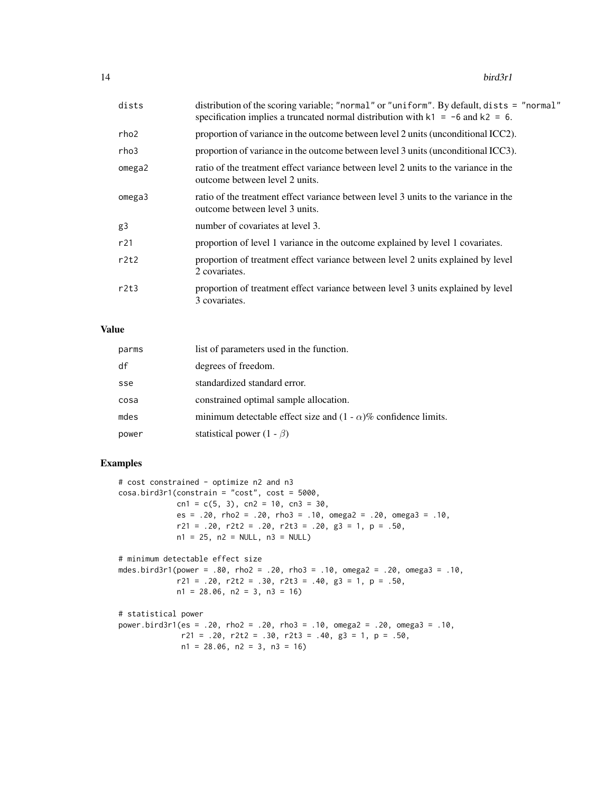| dists  | distribution of the scoring variable; "normal" or "uniform". By default, dists = "normal"<br>specification implies a truncated normal distribution with $k1 = -6$ and $k2 = 6$ . |
|--------|----------------------------------------------------------------------------------------------------------------------------------------------------------------------------------|
| rho2   | proportion of variance in the outcome between level 2 units (unconditional ICC2).                                                                                                |
| rho3   | proportion of variance in the outcome between level 3 units (unconditional ICC3).                                                                                                |
| omega2 | ratio of the treatment effect variance between level 2 units to the variance in the<br>outcome between level 2 units.                                                            |
| omega3 | ratio of the treatment effect variance between level 3 units to the variance in the<br>outcome between level 3 units.                                                            |
| g3     | number of covariates at level 3.                                                                                                                                                 |
| r21    | proportion of level 1 variance in the outcome explained by level 1 covariates.                                                                                                   |
| r2t2   | proportion of treatment effect variance between level 2 units explained by level<br>2 covariates.                                                                                |
| r2t3   | proportion of treatment effect variance between level 3 units explained by level<br>3 covariates.                                                                                |

# Value

| parms | list of parameters used in the function.                               |
|-------|------------------------------------------------------------------------|
| df    | degrees of freedom.                                                    |
| sse   | standardized standard error.                                           |
| cosa  | constrained optimal sample allocation.                                 |
| mdes  | minimum detectable effect size and $(1 - \alpha)$ % confidence limits. |
| power | statistical power $(1 - \beta)$                                        |

# Examples

```
# cost constrained - optimize n2 and n3
cosa.bird3r1(constrain = "cost", cost = 5000,
            cn1 = c(5, 3), cn2 = 10, cn3 = 30,
            es = .20, rho2 = .20, rho3 = .10, omega2 = .20, omega3 = .10,
            r21 = .20, r2t2 = .20, r2t3 = .20, g3 = 1, p = .50,
            n1 = 25, n2 = NULL, n3 = NULL# minimum detectable effect size
mdes.bird3r1(power = .80, rho2 = .20, rho3 = .10, omega2 = .20, omega3 = .10,
            r21 = .20, r2t2 = .30, r2t3 = .40, g3 = 1, p = .50,
            n1 = 28.06, n2 = 3, n3 = 16)
# statistical power
power.bird3r1(es = .20, rho2 = .20, rho3 = .10, omega2 = .20, omega3 = .10,
             r21 = .20, r2t2 = .30, r2t3 = .40, g3 = 1, p = .50,
```
 $n1 = 28.06$ ,  $n2 = 3$ ,  $n3 = 16$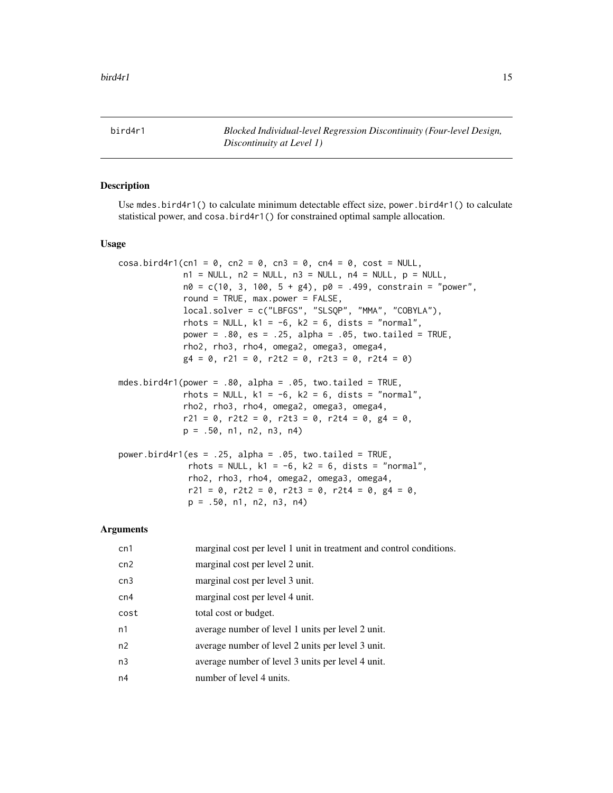<span id="page-14-0"></span>bird4r1 *Blocked Individual-level Regression Discontinuity (Four-level Design, Discontinuity at Level 1)*

# Description

Use mdes.bird4r1() to calculate minimum detectable effect size, power.bird4r1() to calculate statistical power, and cosa.bird4r1() for constrained optimal sample allocation.

# Usage

```
\cos a \cdot \frac{b \cdot d4r1(\text{cn1} = 0, \text{cn2} = 0, \text{cn3} = 0, \text{cn4} = 0, \text{cost} = \text{NULL},n1 = NULL, n2 = NULL, n3 = NULL, n4 = NULL, p = NULL,n\theta = c(1\theta, 3, 1\theta\theta, 5 + g4), p\theta = .499, constrain = "power",
              round = TRUE, max.power = FALSE,
              local.solver = c("LBFGS", "SLSQP", "MMA", "COBYLA"),
              rhots = NULL, k1 = -6, k2 = 6, dists = "normal",
              power = .80, es = .25, alpha = .05, two.tailed = TRUE,
              rho2, rho3, rho4, omega2, omega3, omega4,
              g4 = 0, r21 = 0, r2t2 = 0, r2t3 = 0, r2t4 = 0)
mdes.bird4r1(power = .80, alpha = .05, two.tailed = TRUE,
              rhots = NULL, k1 = -6, k2 = 6, dists = "normal",
              rho2, rho3, rho4, omega2, omega3, omega4,
              r21 = 0, r2t2 = 0, r2t3 = 0, r2t4 = 0, g4 = 0,
              p = .50, n1, n2, n3, n4
```

```
power.bird4r1(es = .25, alpha = .05, two.tailed = TRUE,
              rhots = NULL, k1 = -6, k2 = 6, dists = "normal",
              rho2, rho3, rho4, omega2, omega3, omega4,
              r21 = 0, r2t2 = 0, r2t3 = 0, r2t4 = 0, g4 = 0,
              p = .50, n1, n2, n3, n4)
```

| cn1            | marginal cost per level 1 unit in treatment and control conditions. |
|----------------|---------------------------------------------------------------------|
| cn2            | marginal cost per level 2 unit.                                     |
| cn3            | marginal cost per level 3 unit.                                     |
| cn4            | marginal cost per level 4 unit.                                     |
| cost           | total cost or budget.                                               |
| n1             | average number of level 1 units per level 2 unit.                   |
| n2             | average number of level 2 units per level 3 unit.                   |
| n <sub>3</sub> | average number of level 3 units per level 4 unit.                   |
| n4             | number of level 4 units.                                            |
|                |                                                                     |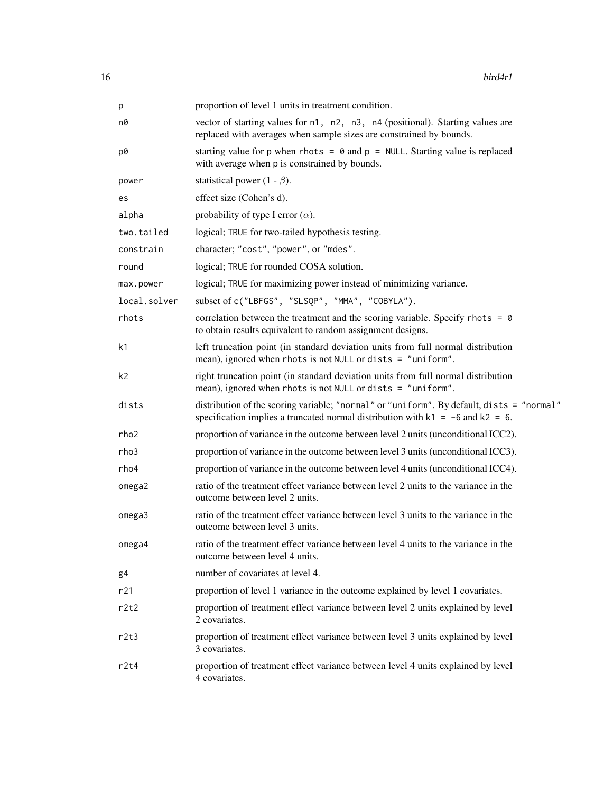| p            | proportion of level 1 units in treatment condition.                                                                                                                              |
|--------------|----------------------------------------------------------------------------------------------------------------------------------------------------------------------------------|
| n0           | vector of starting values for n1, n2, n3, n4 (positional). Starting values are<br>replaced with averages when sample sizes are constrained by bounds.                            |
| p0           | starting value for p when rhots = $\theta$ and p = NULL. Starting value is replaced<br>with average when p is constrained by bounds.                                             |
| power        | statistical power (1 - $\beta$ ).                                                                                                                                                |
| es           | effect size (Cohen's d).                                                                                                                                                         |
| alpha        | probability of type I error $(\alpha)$ .                                                                                                                                         |
| two.tailed   | logical; TRUE for two-tailed hypothesis testing.                                                                                                                                 |
| constrain    | character; "cost", "power", or "mdes".                                                                                                                                           |
| round        | logical; TRUE for rounded COSA solution.                                                                                                                                         |
| max.power    | logical; TRUE for maximizing power instead of minimizing variance.                                                                                                               |
| local.solver | subset of c("LBFGS", "SLSQP", "MMA", "COBYLA").                                                                                                                                  |
| rhots        | correlation between the treatment and the scoring variable. Specify rhots = $\theta$<br>to obtain results equivalent to random assignment designs.                               |
| k1           | left truncation point (in standard deviation units from full normal distribution<br>mean), ignored when rhots is not NULL or dists = "uniform".                                  |
| k2           | right truncation point (in standard deviation units from full normal distribution<br>mean), ignored when rhots is not NULL or dists = "uniform".                                 |
| dists        | distribution of the scoring variable; "normal" or "uniform". By default, dists = "normal"<br>specification implies a truncated normal distribution with $k1 = -6$ and $k2 = 6$ . |
| rho2         | proportion of variance in the outcome between level 2 units (unconditional ICC2).                                                                                                |
| rho3         | proportion of variance in the outcome between level 3 units (unconditional ICC3).                                                                                                |
| rho4         | proportion of variance in the outcome between level 4 units (unconditional ICC4).                                                                                                |
| omega2       | ratio of the treatment effect variance between level 2 units to the variance in the<br>outcome between level 2 units.                                                            |
| omega3       | ratio of the treatment effect variance between level 3 units to the variance in the<br>outcome between level 3 units.                                                            |
| omega4       | ratio of the treatment effect variance between level 4 units to the variance in the<br>outcome between level 4 units.                                                            |
| g4           | number of covariates at level 4.                                                                                                                                                 |
| r21          | proportion of level 1 variance in the outcome explained by level 1 covariates.                                                                                                   |
| r2t2         | proportion of treatment effect variance between level 2 units explained by level<br>2 covariates.                                                                                |
| r2t3         | proportion of treatment effect variance between level 3 units explained by level<br>3 covariates.                                                                                |
| r2t4         | proportion of treatment effect variance between level 4 units explained by level<br>4 covariates.                                                                                |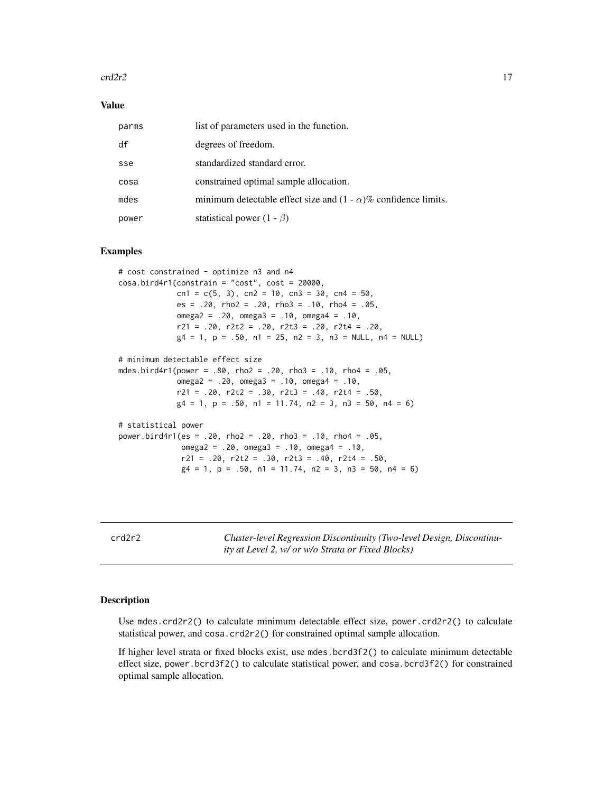# <span id="page-16-0"></span> $\text{crd}2r2$  and  $\text{crd}2r2$  and  $\text{crd}2r2$  and  $\text{crd}2r2$  and  $\text{crd}2r2$  and  $\text{crd}2r2$

## Value

| parms | list of parameters used in the function.                               |
|-------|------------------------------------------------------------------------|
| df    | degrees of freedom.                                                    |
| sse   | standardized standard error.                                           |
| cosa  | constrained optimal sample allocation.                                 |
| mdes  | minimum detectable effect size and $(1 - \alpha)$ % confidence limits. |
| power | statistical power $(1 - \beta)$                                        |

# Examples

```
# cost constrained - optimize n3 and n4
cosa.bird4r1(constraint = "cost", cost = 20000,cn1 = c(5, 3), cn2 = 10, cn3 = 30, cn4 = 50,
             es = .20, rho2 = .20, rho3 = .10, rho4 = .05,
             omega2 = .20, omega3 = .10, omega4 = .10,
             r21 = .20, r2t2 = .20, r2t3 = .20, r2t4 = .20,
             g4 = 1, p = .50, n1 = 25, n2 = 3, n3 = NULL, n4 = NULL# minimum detectable effect size
mdes.bird4r1(power = .80, rho2 = .20, rho3 = .10, rho4 = .05,
             omega2 = .20, omega3 = .10, omega4 = .10,
             r21 = .20, r2t2 = .30, r2t3 = .40, r2t4 = .50,
             g4 = 1, p = .50, n1 = 11.74, n2 = 3, n3 = 50, n4 = 6)
# statistical power
power.bird4r1(es = .20, rho2 = .20, rho3 = .10, rho4 = .05,
             omega2 = .20, omega3 = .10, omega4 = .10,
             r21 = .20, r2t2 = .30, r2t3 = .40, r2t4 = .50,
             g4 = 1, p = .50, n1 = 11.74, n2 = 3, n3 = 50, n4 = 6)
```
crd2r2 *Cluster-level Regression Discontinuity (Two-level Design, Discontinuity at Level 2, w/ or w/o Strata or Fixed Blocks)*

# Description

Use mdes.crd2r2() to calculate minimum detectable effect size, power.crd2r2() to calculate statistical power, and cosa.crd2r2() for constrained optimal sample allocation.

If higher level strata or fixed blocks exist, use mdes.bcrd3f2() to calculate minimum detectable effect size, power.bcrd3f2() to calculate statistical power, and cosa.bcrd3f2() for constrained optimal sample allocation.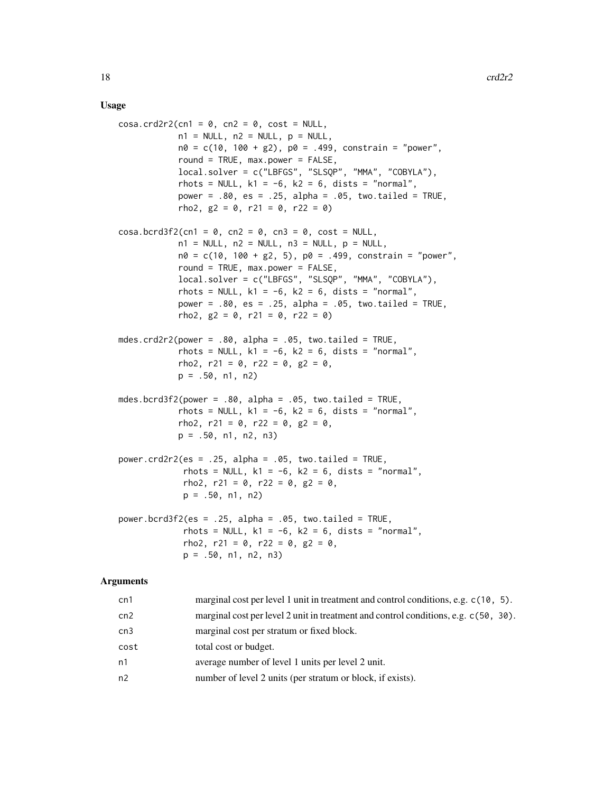# Usage

 $cosa.crd2r2(cn1 = 0, cn2 = 0, cost = NULL,$  $n1 = NULL, n2 = NULL, p = NULL,$  $n0 = c(10, 100 + g2)$ ,  $p0 = .499$ , constrain = "power", round = TRUE, max.power = FALSE, local.solver = c("LBFGS", "SLSQP", "MMA", "COBYLA"), rhots = NULL,  $k1 = -6$ ,  $k2 = 6$ , dists = "normal", power =  $.80$ , es =  $.25$ , alpha =  $.05$ , two.tailed = TRUE, rho2,  $g2 = 0$ ,  $r21 = 0$ ,  $r22 = 0$ )  $\cos a \cdot \text{bcrd3f2}$ (cn1 = 0, cn2 = 0, cn3 = 0, cost = NULL,  $n1 = NULL, n2 = NULL, n3 = NULL, p = NULL,$  $n\theta = c(1\theta, 1\theta\theta + g2, 5)$ ,  $p\theta = .499$ , constrain = "power", round = TRUE, max.power = FALSE, local.solver = c("LBFGS", "SLSQP", "MMA", "COBYLA"), rhots = NULL,  $k1 = -6$ ,  $k2 = 6$ , dists = "normal", power =  $.80$ , es =  $.25$ , alpha =  $.05$ , two.tailed = TRUE, rho2,  $g2 = 0$ ,  $r21 = 0$ ,  $r22 = 0$ ) mdes.crd2r2(power =  $.80$ , alpha =  $.05$ , two.tailed = TRUE, rhots = NULL,  $k1 = -6$ ,  $k2 = 6$ , dists = "normal", rho2, r21 = 0, r22 = 0,  $g2 = 0$ ,  $p = .50, n1, n2)$ mdes.bcrd3f2(power =  $.80$ , alpha =  $.05$ , two.tailed = TRUE, rhots = NULL,  $k1 = -6$ ,  $k2 = 6$ , dists = "normal", rho2, r21 = 0, r22 = 0,  $g2 = 0$ ,  $p = .50, n1, n2, n3$ power.crd2r2(es = .25, alpha = .05, two.tailed = TRUE, rhots = NULL,  $k1 = -6$ ,  $k2 = 6$ , dists = "normal", rho2,  $r21 = 0$ ,  $r22 = 0$ ,  $g2 = 0$ , p = .50, n1, n2) power.bcrd3f2(es = .25, alpha = .05, two.tailed = TRUE, rhots = NULL,  $k1 = -6$ ,  $k2 = 6$ , dists = "normal", rho2, r21 = 0, r22 = 0,  $g2 = 0$ ,  $p = .50, n1, n2, n3$ 

| cn1  | marginal cost per level 1 unit in treatment and control conditions, e.g. c(10, 5).  |
|------|-------------------------------------------------------------------------------------|
| cn2  | marginal cost per level 2 unit in treatment and control conditions, e.g. c(50, 30). |
| cn3  | marginal cost per stratum or fixed block.                                           |
| cost | total cost or budget.                                                               |
| n1   | average number of level 1 units per level 2 unit.                                   |
| n2   | number of level 2 units (per stratum or block, if exists).                          |
|      |                                                                                     |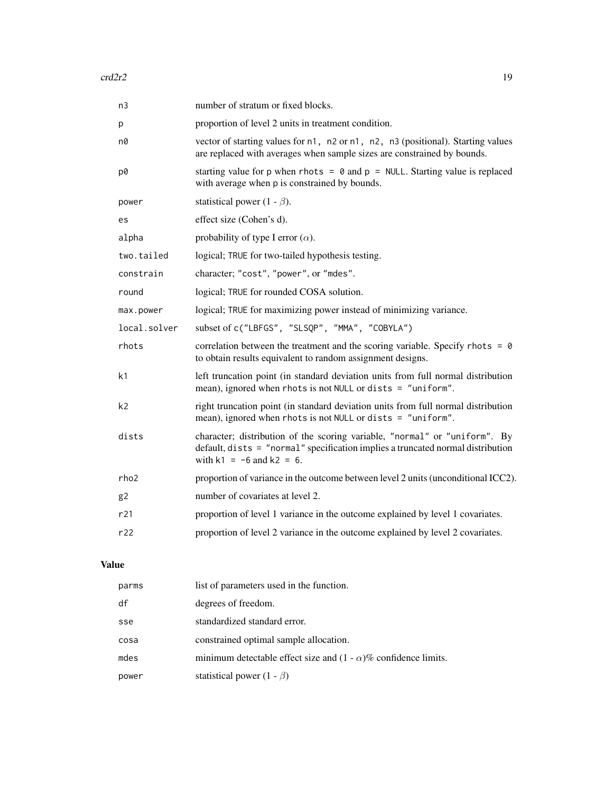| number of stratum or fixed blocks.                                                                                                                                                             |
|------------------------------------------------------------------------------------------------------------------------------------------------------------------------------------------------|
| proportion of level 2 units in treatment condition.                                                                                                                                            |
| vector of starting values for n1, n2 or n1, n2, n3 (positional). Starting values<br>are replaced with averages when sample sizes are constrained by bounds.                                    |
| starting value for p when rhots = $\theta$ and p = NULL. Starting value is replaced<br>with average when p is constrained by bounds.                                                           |
| statistical power (1 - $\beta$ ).                                                                                                                                                              |
| effect size (Cohen's d).                                                                                                                                                                       |
| probability of type I error $(\alpha)$ .                                                                                                                                                       |
| logical; TRUE for two-tailed hypothesis testing.                                                                                                                                               |
| character; "cost", "power", or "mdes".                                                                                                                                                         |
| logical; TRUE for rounded COSA solution.                                                                                                                                                       |
| logical; TRUE for maximizing power instead of minimizing variance.                                                                                                                             |
| subset of c("LBFGS", "SLSQP", "MMA", "COBYLA")                                                                                                                                                 |
| correlation between the treatment and the scoring variable. Specify rhots = $\theta$<br>to obtain results equivalent to random assignment designs.                                             |
| left truncation point (in standard deviation units from full normal distribution<br>mean), ignored when rhots is not NULL or dists = "uniform".                                                |
| right truncation point (in standard deviation units from full normal distribution<br>mean), ignored when rhots is not NULL or dists = "uniform".                                               |
| character; distribution of the scoring variable, "normal" or "uniform". By<br>default, dists = "normal" specification implies a truncated normal distribution<br>with $k1 = -6$ and $k2 = 6$ . |
| proportion of variance in the outcome between level 2 units (unconditional ICC2).                                                                                                              |
| number of covariates at level 2.                                                                                                                                                               |
| proportion of level 1 variance in the outcome explained by level 1 covariates.                                                                                                                 |
| proportion of level 2 variance in the outcome explained by level 2 covariates.                                                                                                                 |
|                                                                                                                                                                                                |

# Value

| parms | list of parameters used in the function.                               |
|-------|------------------------------------------------------------------------|
| df    | degrees of freedom.                                                    |
| sse   | standardized standard error.                                           |
| cosa  | constrained optimal sample allocation.                                 |
| mdes  | minimum detectable effect size and $(1 - \alpha)$ % confidence limits. |
| power | statistical power $(1 - \beta)$                                        |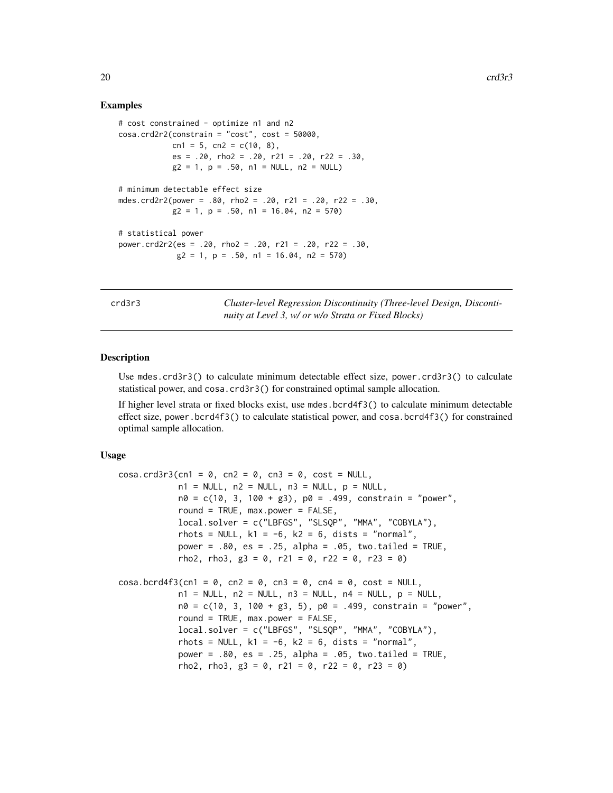# Examples

```
# cost constrained - optimize n1 and n2
cosa.crd2r2(constraint = "cost", cost = 50000,cn1 = 5, cn2 = c(10, 8),
           es = .20, rho2 = .20, r21 = .20, r22 = .30,
           g2 = 1, p = .50, n1 = NULL, n2 = NULL# minimum detectable effect size
mdes.crd2r2(power = .80, rho2 = .20, r21 = .20, r22 = .30,
           g2 = 1, p = .50, n1 = 16.04, n2 = 570# statistical power
power.crd2r2(es = .20, rho2 = .20, r21 = .20, r22 = .30,
            g2 = 1, p = .50, n1 = 16.04, n2 = 570)
```
crd3r3 *Cluster-level Regression Discontinuity (Three-level Design, Discontinuity at Level 3, w/ or w/o Strata or Fixed Blocks)*

# Description

Use mdes.crd3r3() to calculate minimum detectable effect size, power.crd3r3() to calculate statistical power, and cosa.crd3r3() for constrained optimal sample allocation.

If higher level strata or fixed blocks exist, use mdes.bcrd4f3() to calculate minimum detectable effect size, power.bcrd4f3() to calculate statistical power, and cosa.bcrd4f3() for constrained optimal sample allocation.

```
cosa.crd3r3(cn1 = 0, cn2 = 0, cn3 = 0, cost = NULL,n1 = NULL, n2 = NULL, n3 = NULL, p = NULL,n\theta = c(1\theta, 3, 1\theta\theta + g3), p\theta = .499, constrain = "power",
            round = TRUE, max.power = FALSE,
            local.solver = c("LBFGS", "SLSQP", "MMA", "COBYLA"),
            rhots = NULL, k1 = -6, k2 = 6, dists = "normal",
            power = .80, es = .25, alpha = .05, two.tailed = TRUE,
            rho2, rho3, g3 = 0, r21 = 0, r22 = 0, r23 = 0)
\cos a \cdot \frac{b \cdot d}{f}(cn1 = 0, cn2 = 0, cn3 = 0, cn4 = 0, cost = NULL,
            n1 = NULL, n2 = NULL, n3 = NULL, n4 = NULL, p = NULLn0 = c(10, 3, 100 + g3, 5), p0 = .499, constrain = "power",
            round = TRUE, max.power = FALSE,
            local.solver = c("LBFGS", "SLSQP", "MMA", "COBYLA"),
            rhots = NULL, k1 = -6, k2 = 6, dists = "normal",
            power = .80, es = .25, alpha = .05, two.tailed = TRUE,
            rho2, rho3, g3 = 0, r21 = 0, r22 = 0, r23 = 0)
```
<span id="page-19-0"></span>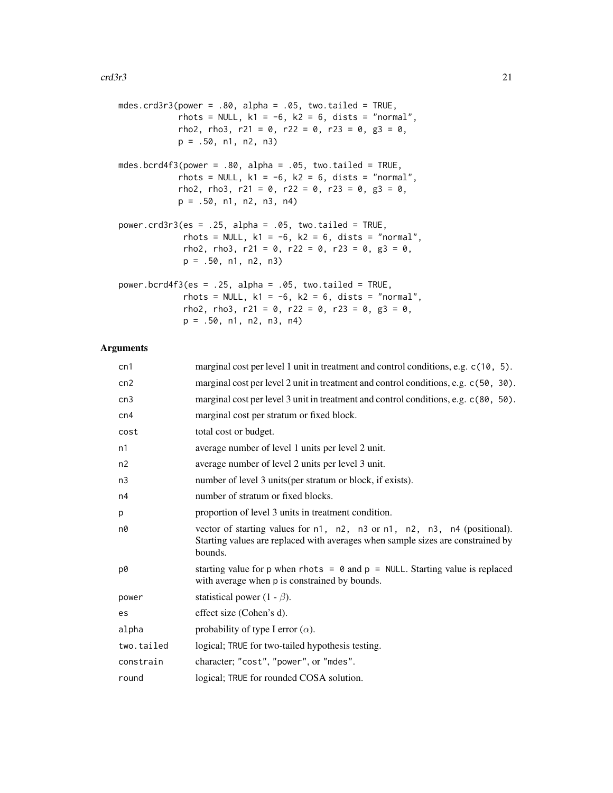| mdes.crd3r3(power = .80, alpha = .05, two.tailed = TRUE,<br>rhots = NULL, $k1 = -6$ , $k2 = 6$ , dists = "normal",<br>rho2, rho3, r21 = 0, r22 = 0, r23 = 0, g3 = 0,<br>$p = .50, n1, n2, n3$      |
|----------------------------------------------------------------------------------------------------------------------------------------------------------------------------------------------------|
| mdes.bcrd4f3(power = .80, alpha = .05, two.tailed = TRUE,<br>rhots = NULL, $k1 = -6$ , $k2 = 6$ , dists = "normal",<br>rho2, rho3, r21 = 0, r22 = 0, r23 = 0, g3 = 0,<br>$p = .50, n1, n2, n3, n4$ |
| power.crd3r3(es = .25, alpha = .05, two.tailed = TRUE,<br>rhots = NULL, $k1 = -6$ , $k2 = 6$ , dists = "normal",<br>rho2, rho3, r21 = 0, r22 = 0, r23 = 0, g3 = 0,<br>$p = .50, n1, n2, n3$        |
| power.bcrd4f3(es = .25, alpha = .05, two.tailed = TRUE,<br>rhots = NULL, $k1 = -6$ , $k2 = 6$ , dists = "normal",<br>rho2, rho3, r21 = 0, r22 = 0, r23 = 0, g3 = 0,<br>p = .50, n1, n2, n3, n4)    |

| cn1            | marginal cost per level 1 unit in treatment and control conditions, e.g. c(10, 5).                                                                                     |
|----------------|------------------------------------------------------------------------------------------------------------------------------------------------------------------------|
| cn2            | marginal cost per level 2 unit in treatment and control conditions, e.g. c(50, 30).                                                                                    |
| cn3            | marginal cost per level 3 unit in treatment and control conditions, e.g. c(80, 50).                                                                                    |
| cn4            | marginal cost per stratum or fixed block.                                                                                                                              |
| cost           | total cost or budget.                                                                                                                                                  |
| n1             | average number of level 1 units per level 2 unit.                                                                                                                      |
| n2             | average number of level 2 units per level 3 unit.                                                                                                                      |
| n <sub>3</sub> | number of level 3 units (per stratum or block, if exists).                                                                                                             |
| n4             | number of stratum or fixed blocks.                                                                                                                                     |
| p              | proportion of level 3 units in treatment condition.                                                                                                                    |
| n0             | vector of starting values for n1, n2, n3 or n1, n2, n3, n4 (positional).<br>Starting values are replaced with averages when sample sizes are constrained by<br>bounds. |
| p0             | starting value for p when rhots = $\theta$ and p = NULL. Starting value is replaced<br>with average when p is constrained by bounds.                                   |
| power          | statistical power $(1 - \beta)$ .                                                                                                                                      |
| es             | effect size (Cohen's d).                                                                                                                                               |
| alpha          | probability of type I error $(\alpha)$ .                                                                                                                               |
| two.tailed     | logical; TRUE for two-tailed hypothesis testing.                                                                                                                       |
| constrain      | character; "cost", "power", or "mdes".                                                                                                                                 |
| round          | logical; TRUE for rounded COSA solution.                                                                                                                               |
|                |                                                                                                                                                                        |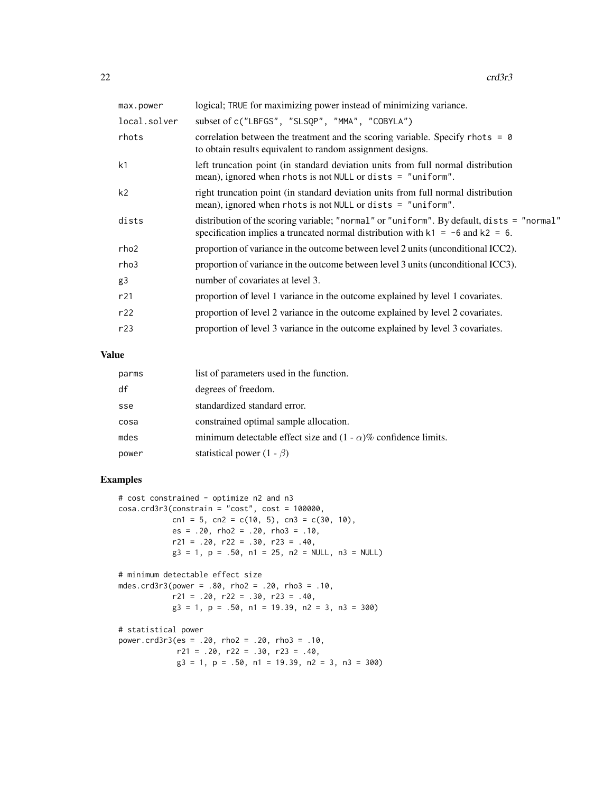| logical; TRUE for maximizing power instead of minimizing variance.                                                                                                               |
|----------------------------------------------------------------------------------------------------------------------------------------------------------------------------------|
| subset of c("LBFGS", "SLSQP", "MMA", "COBYLA")                                                                                                                                   |
| correlation between the treatment and the scoring variable. Specify rhots $= 0$<br>to obtain results equivalent to random assignment designs.                                    |
| left truncation point (in standard deviation units from full normal distribution<br>mean), ignored when rhots is not NULL or dists $=$ "uniform".                                |
| right truncation point (in standard deviation units from full normal distribution<br>mean), ignored when rhots is not NULL or dists $=$ "uniform".                               |
| distribution of the scoring variable; "normal" or "uniform". By default, dists = "normal"<br>specification implies a truncated normal distribution with $k1 = -6$ and $k2 = 6$ . |
| proportion of variance in the outcome between level 2 units (unconditional ICC2).                                                                                                |
| proportion of variance in the outcome between level 3 units (unconditional ICC3).                                                                                                |
| number of covariates at level 3.                                                                                                                                                 |
| proportion of level 1 variance in the outcome explained by level 1 covariates.                                                                                                   |
| proportion of level 2 variance in the outcome explained by level 2 covariates.                                                                                                   |
| proportion of level 3 variance in the outcome explained by level 3 covariates.                                                                                                   |
|                                                                                                                                                                                  |

# Value

| parms | list of parameters used in the function.                               |
|-------|------------------------------------------------------------------------|
| df    | degrees of freedom.                                                    |
| sse   | standardized standard error.                                           |
| cosa  | constrained optimal sample allocation.                                 |
| mdes  | minimum detectable effect size and $(1 - \alpha)$ % confidence limits. |
| power | statistical power $(1 - \beta)$                                        |

# Examples

```
# cost constrained - optimize n2 and n3
cosa.crd3r3(constraint = "cost", cost = 100000,cn1 = 5, cn2 = c(10, 5), cn3 = c(30, 10),
           es = .20, rho2 = .20, rho3 = .10,
           r21 = .20, r22 = .30, r23 = .40,
            g3 = 1, p = .50, n1 = 25, n2 = NULL, n3 = NULL# minimum detectable effect size
mdes.crd3r3(power = .80, rho2 = .20, rho3 = .10,
            r21 = .20, r22 = .30, r23 = .40,
            g3 = 1, p = .50, n1 = 19.39, n2 = 3, n3 = 300)
# statistical power
power.crd3r3(es = .20, rho2 = .20, rho3 = .10,
            r21 = .20, r22 = .30, r23 = .40,g3 = 1, p = .50, n1 = 19.39, n2 = 3, n3 = 300)
```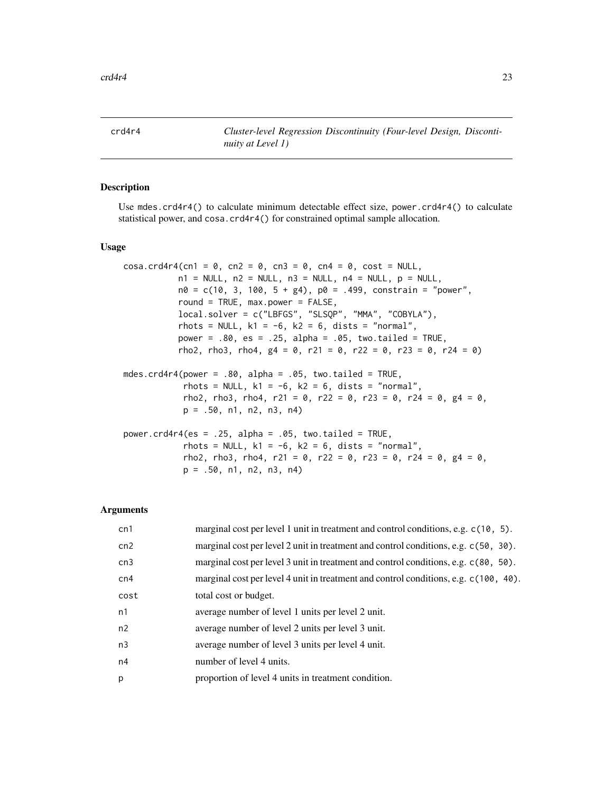<span id="page-22-0"></span>crd4r4 *Cluster-level Regression Discontinuity (Four-level Design, Discontinuity at Level 1)*

# Description

Use mdes.crd4r4() to calculate minimum detectable effect size, power.crd4r4() to calculate statistical power, and cosa.crd4r4() for constrained optimal sample allocation.

# Usage

```
cosa.crd4r4(cn1 = \theta, cn2 = \theta, cn3 = \theta, cn4 = \theta, cost = NULL,
           n1 = NULL, n2 = NULL, n3 = NULL, n4 = NULL, p = NULLn0 = c(10, 3, 100, 5 + g4), p0 = .499, constrain = "power",
           round = TRUE, max.power = FALSE,
           local.solver = c("LBFGS", "SLSQP", "MMA", "COBYLA"),
           rhots = NULL, k1 = -6, k2 = 6, dists = "normal",
           power = .80, es = .25, alpha = .05, two.tailed = TRUE,
           rho2, rho3, rho4, g4 = 0, r21 = 0, r22 = 0, r23 = 0, r24 = 0)
mdes.crd4r4(power = .80, alpha = .05, two.tailed = TRUE,
            rhots = NULL, k1 = -6, k2 = 6, dists = "normal",
            rho2, rho3, rho4, r21 = 0, r22 = 0, r23 = 0, r24 = 0, g4 = 0,
            p = .50, n1, n2, n3, n4)
power.crd4r4(es = .25, alpha = .05, two.tailed = TRUE,
            rhots = NULL, k1 = -6, k2 = 6, dists = "normal",
            rho2, rho3, rho4, r21 = 0, r22 = 0, r23 = 0, r24 = 0, g4 = 0,
```
 $p = .50$ , n1, n2, n3, n4)

| cn1            | marginal cost per level 1 unit in treatment and control conditions, e.g. c(10, 5).   |
|----------------|--------------------------------------------------------------------------------------|
| cn2            | marginal cost per level 2 unit in treatment and control conditions, e.g. c(50, 30).  |
| cn3            | marginal cost per level 3 unit in treatment and control conditions, e.g. c(80, 50).  |
| cn4            | marginal cost per level 4 unit in treatment and control conditions, e.g. c(100, 40). |
| cost           | total cost or budget.                                                                |
| n1             | average number of level 1 units per level 2 unit.                                    |
| n2             | average number of level 2 units per level 3 unit.                                    |
| n <sub>3</sub> | average number of level 3 units per level 4 unit.                                    |
| n4             | number of level 4 units.                                                             |
| p              | proportion of level 4 units in treatment condition.                                  |
|                |                                                                                      |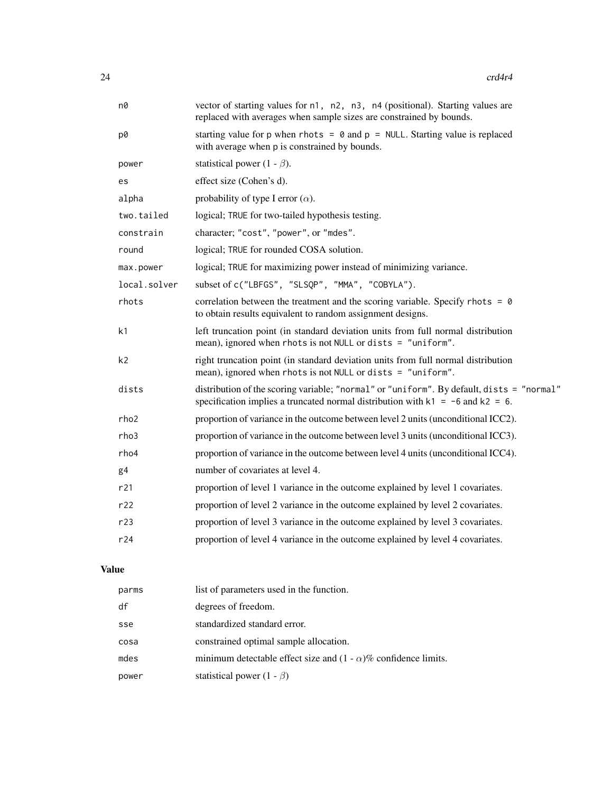| n0             | vector of starting values for n1, n2, n3, n4 (positional). Starting values are<br>replaced with averages when sample sizes are constrained by bounds.                            |
|----------------|----------------------------------------------------------------------------------------------------------------------------------------------------------------------------------|
| p0             | starting value for p when rhots = $\theta$ and p = NULL. Starting value is replaced<br>with average when p is constrained by bounds.                                             |
| power          | statistical power (1 - $\beta$ ).                                                                                                                                                |
| es             | effect size (Cohen's d).                                                                                                                                                         |
| alpha          | probability of type I error $(\alpha)$ .                                                                                                                                         |
| two.tailed     | logical; TRUE for two-tailed hypothesis testing.                                                                                                                                 |
| constrain      | character; "cost", "power", or "mdes".                                                                                                                                           |
| round          | logical; TRUE for rounded COSA solution.                                                                                                                                         |
| max.power      | logical; TRUE for maximizing power instead of minimizing variance.                                                                                                               |
| local.solver   | subset of c("LBFGS", "SLSQP", "MMA", "COBYLA").                                                                                                                                  |
| rhots          | correlation between the treatment and the scoring variable. Specify rhots = $\theta$<br>to obtain results equivalent to random assignment designs.                               |
| k1             | left truncation point (in standard deviation units from full normal distribution<br>mean), ignored when rhots is not NULL or dists = "uniform".                                  |
| k <sub>2</sub> | right truncation point (in standard deviation units from full normal distribution<br>mean), ignored when rhots is not NULL or dists $=$ "uniform".                               |
| dists          | distribution of the scoring variable; "normal" or "uniform". By default, dists = "normal"<br>specification implies a truncated normal distribution with $k1 = -6$ and $k2 = 6$ . |
| rho2           | proportion of variance in the outcome between level 2 units (unconditional ICC2).                                                                                                |
| rho3           | proportion of variance in the outcome between level 3 units (unconditional ICC3).                                                                                                |
| rho4           | proportion of variance in the outcome between level 4 units (unconditional ICC4).                                                                                                |
| g <sub>4</sub> | number of covariates at level 4.                                                                                                                                                 |
| r21            | proportion of level 1 variance in the outcome explained by level 1 covariates.                                                                                                   |
| r22            | proportion of level 2 variance in the outcome explained by level 2 covariates.                                                                                                   |
| r23            | proportion of level 3 variance in the outcome explained by level 3 covariates.                                                                                                   |
| r24            | proportion of level 4 variance in the outcome explained by level 4 covariates.                                                                                                   |
| ue             |                                                                                                                                                                                  |

# Val

| parms | list of parameters used in the function.                               |
|-------|------------------------------------------------------------------------|
| df    | degrees of freedom.                                                    |
| sse   | standardized standard error.                                           |
| cosa  | constrained optimal sample allocation.                                 |
| mdes  | minimum detectable effect size and $(1 - \alpha)$ % confidence limits. |
| power | statistical power $(1 - \beta)$                                        |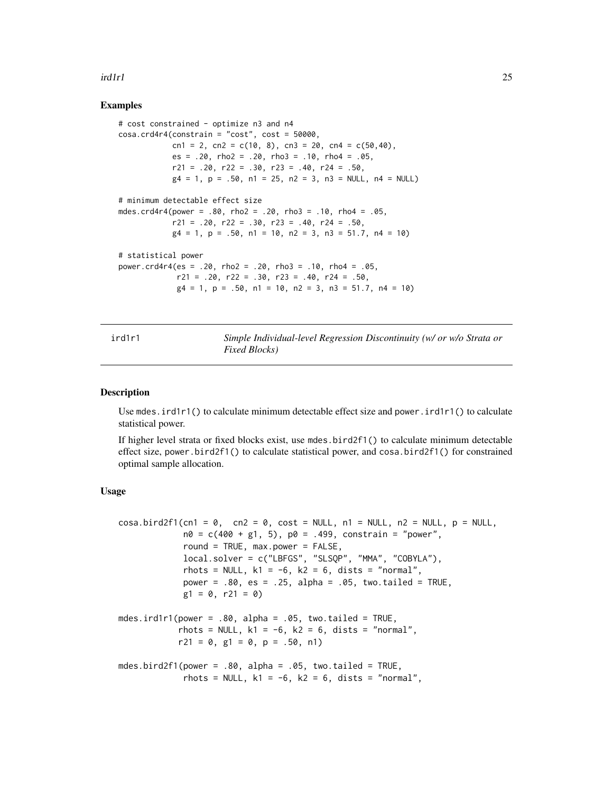### <span id="page-24-0"></span>ird1r1 25

# Examples

```
# cost constrained - optimize n3 and n4
cosa.crd4r4(constraint = "cost", cost = 50000,cn1 = 2, cn2 = c(10, 8), cn3 = 20, cn4 = c(50,40),
            es = .20, rho2 = .20, rho3 = .10, rho4 = .05,
            r21 = .20, r22 = .30, r23 = .40, r24 = .50,
            g4 = 1, p = .50, n1 = 25, n2 = 3, n3 = NULL, n4 = NULL# minimum detectable effect size
mdes.crd4r4(power = .80, rho2 = .20, rho3 = .10, rho4 = .05,
            r21 = .20, r22 = .30, r23 = .40, r24 = .50,
            g4 = 1, p = .50, n1 = 10, n2 = 3, n3 = 51.7, n4 = 10)
# statistical power
power.crd4r4(es = .20, rho2 = .20, rho3 = .10, rho4 = .05,
             r21 = .20, r22 = .30, r23 = .40, r24 = .50,
             g4 = 1, p = .50, n1 = 10, n2 = 3, n3 = 51.7, n4 = 10)
```
ird1r1 *Simple Individual-level Regression Discontinuity (w/ or w/o Strata or Fixed Blocks)*

#### Description

Use mdes.ird1r1() to calculate minimum detectable effect size and power.ird1r1() to calculate statistical power.

If higher level strata or fixed blocks exist, use mdes.bird2f1() to calculate minimum detectable effect size, power.bird2f1() to calculate statistical power, and cosa.bird2f1() for constrained optimal sample allocation.

```
\cosh\left(\frac{\ln(1)}{2}\right) = 0, \cosh = 0, \cosh = \text{NULL}, \ln 1 = \text{NULL}, \ln 2 = \text{NULL}, \ln 2 = \text{NULL}n0 = c(400 + g1, 5), p0 = .499, constrain = "power",
              round = TRUE, max.power = FALSE,
              local.solver = c("LBFGS", "SLSQP", "MMA", "COBYLA"),
              rhots = NULL, k1 = -6, k2 = 6, dists = "normal",
              power = .80, es = .25, alpha = .05, two.tailed = TRUE,
              g1 = 0, r21 = 0)mdes.ird1r1(power = .80, alpha = .05, two.tailed = TRUE,
             rhots = NULL, k1 = -6, k2 = 6, dists = "normal",
             r21 = 0, g1 = 0, p = .50, n1)
mdes.bird2f1(power = .80, alpha = .05, two.tailed = TRUE,
              rhots = NULL, k1 = -6, k2 = 6, dists = "normal",
```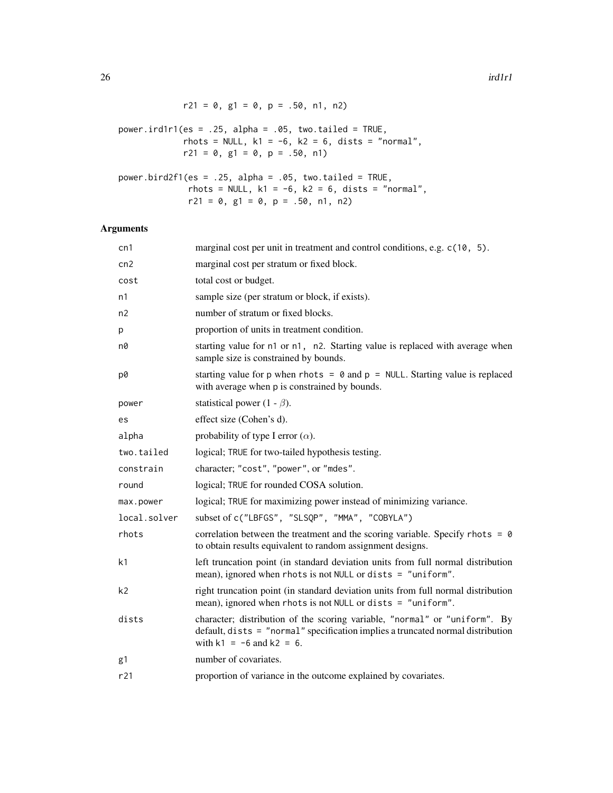| $r21 = 0$ , $g1 = 0$ , $p = .50$ , $n1$ , $n2$ )                                                                                                                      |
|-----------------------------------------------------------------------------------------------------------------------------------------------------------------------|
| power.ird1r1(es = .25, alpha = .05, two.tailed = TRUE,<br>rhots = NULL, $k1 = -6$ , $k2 = 6$ , dists = "normal",<br>$r21 = 0$ , $g1 = 0$ , $p = .50$ , n1)            |
| power.bird2f1(es = .25, alpha = .05, two.tailed = TRUE,<br>rhots = NULL, $k1 = -6$ , $k2 = 6$ , dists = "normal",<br>$r21 = 0$ , $g1 = 0$ , $p = .50$ , $n1$ , $n2$ ) |

| cn1            | marginal cost per unit in treatment and control conditions, e.g. c(10, 5).                                                                                                                     |
|----------------|------------------------------------------------------------------------------------------------------------------------------------------------------------------------------------------------|
| cn2            | marginal cost per stratum or fixed block.                                                                                                                                                      |
| cost           | total cost or budget.                                                                                                                                                                          |
| n1             | sample size (per stratum or block, if exists).                                                                                                                                                 |
| n2             | number of stratum or fixed blocks.                                                                                                                                                             |
| р              | proportion of units in treatment condition.                                                                                                                                                    |
| n0             | starting value for n1 or n1, n2. Starting value is replaced with average when<br>sample size is constrained by bounds.                                                                         |
| p0             | starting value for p when rhots = $\theta$ and p = NULL. Starting value is replaced<br>with average when p is constrained by bounds.                                                           |
| power          | statistical power (1 - $\beta$ ).                                                                                                                                                              |
| es             | effect size (Cohen's d).                                                                                                                                                                       |
| alpha          | probability of type I error $(\alpha)$ .                                                                                                                                                       |
| two.tailed     | logical; TRUE for two-tailed hypothesis testing.                                                                                                                                               |
| constrain      | character; "cost", "power", or "mdes".                                                                                                                                                         |
| round          | logical; TRUE for rounded COSA solution.                                                                                                                                                       |
| max.power      | logical; TRUE for maximizing power instead of minimizing variance.                                                                                                                             |
| local.solver   | subset of c("LBFGS", "SLSQP", "MMA", "COBYLA")                                                                                                                                                 |
| rhots          | correlation between the treatment and the scoring variable. Specify rhots = $\theta$<br>to obtain results equivalent to random assignment designs.                                             |
| k1             | left truncation point (in standard deviation units from full normal distribution<br>mean), ignored when rhots is not NULL or dists = "uniform".                                                |
| k <sub>2</sub> | right truncation point (in standard deviation units from full normal distribution<br>mean), ignored when rhots is not NULL or dists = "uniform".                                               |
| dists          | character; distribution of the scoring variable, "normal" or "uniform". By<br>default, dists = "normal" specification implies a truncated normal distribution<br>with $k1 = -6$ and $k2 = 6$ . |
| g1             | number of covariates.                                                                                                                                                                          |
| r21            | proportion of variance in the outcome explained by covariates.                                                                                                                                 |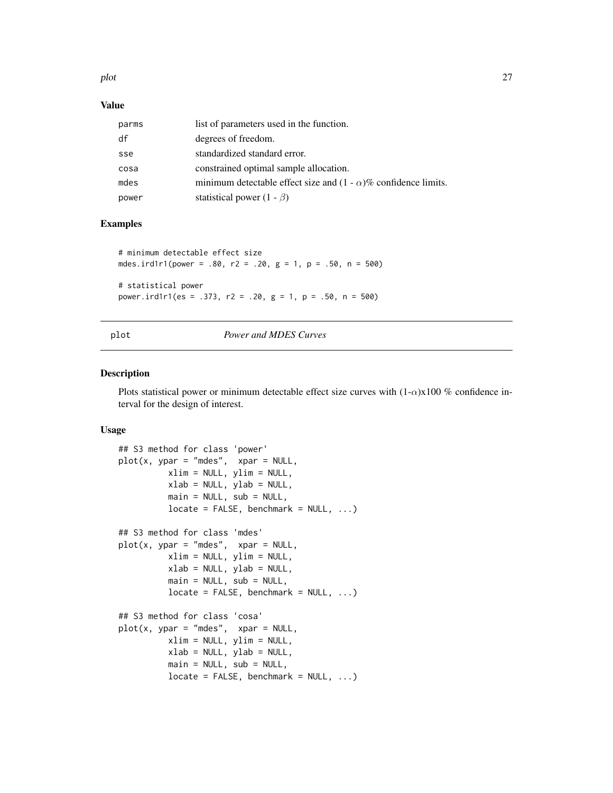<span id="page-26-0"></span>plot the contract of the contract of the contract of the contract of the contract of the contract of the contract of the contract of the contract of the contract of the contract of the contract of the contract of the contr

# Value

| parms | list of parameters used in the function.                               |
|-------|------------------------------------------------------------------------|
| df    | degrees of freedom.                                                    |
| sse   | standardized standard error.                                           |
| cosa  | constrained optimal sample allocation.                                 |
| mdes  | minimum detectable effect size and $(1 - \alpha)$ % confidence limits. |
| power | statistical power $(1 - \beta)$                                        |

# Examples

```
# minimum detectable effect size
mdes.ird1r1(power = .80, r2 = .20, g = 1, p = .50, n = 500)
# statistical power
power.ird1r1(es = .373, r2 = .20, g = 1, p = .50, n = 500)
```
# plot *Power and MDES Curves*

# Description

Plots statistical power or minimum detectable effect size curves with  $(1-\alpha)x100\%$  confidence interval for the design of interest.

```
## S3 method for class 'power'
plot(x, ypar = "mdes", xpar = NULL,xlim = NULL, ylim = NULL,
         xlab = NULL, ylab = NULL,main = NULL, sub = NULL,
         locate = FALSE, benchmark = NULL, ...)## S3 method for class 'mdes'
plot(x, ypar = "mdes", xpar = NULL,
         xlim = NULL, ylim = NULL,
         xlab = NULL, ylab = NULL,
         main = NULL, sub = NULL,locate = FALSE, benchmark = NULL, ...)## S3 method for class 'cosa'
plot(x, ypar = "mdes", xpar = NULL,xlim = NULL, ylim = NULL,
         xlab = NULL, ylab = NULL,
         main = NULL, sub = NULL,
          locate = FALSE, benchmark = NULL, ...)
```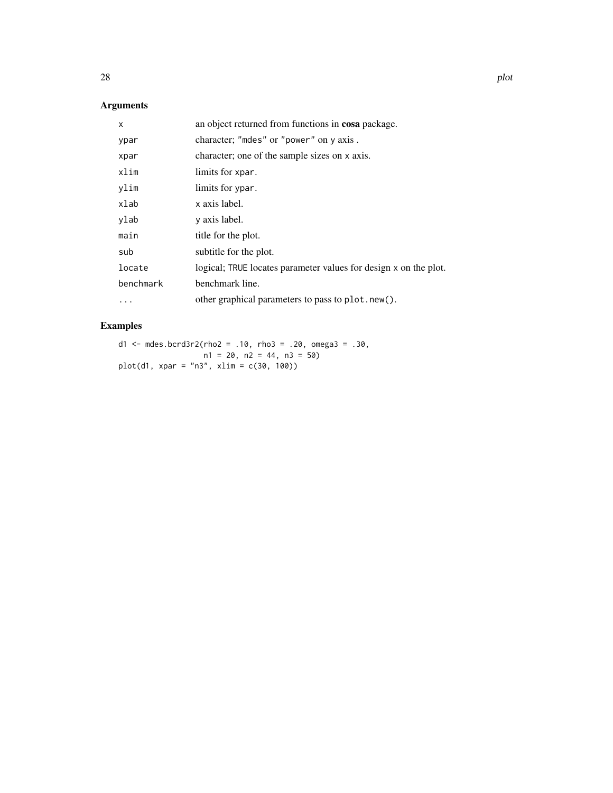# Arguments

| X         | an object returned from functions in cosa package.               |
|-----------|------------------------------------------------------------------|
| ypar      | character; "mdes" or "power" on y axis.                          |
| xpar      | character; one of the sample sizes on x axis.                    |
| xlim      | limits for xpar.                                                 |
| ylim      | limits for ypar.                                                 |
| xlab      | x axis label.                                                    |
| ylab      | y axis label.                                                    |
| main      | title for the plot.                                              |
| sub       | subtitle for the plot.                                           |
| locate    | logical; TRUE locates parameter values for design x on the plot. |
| benchmark | benchmark line.                                                  |
| .         | other graphical parameters to pass to plot.new().                |

# Examples

d1 <- mdes.bcrd3r2(rho2 = .10, rho3 = .20, omega3 = .30, n1 = 20, n2 = 44, n3 = 50) plot(d1, xpar = "n3", xlim = c(30, 100))